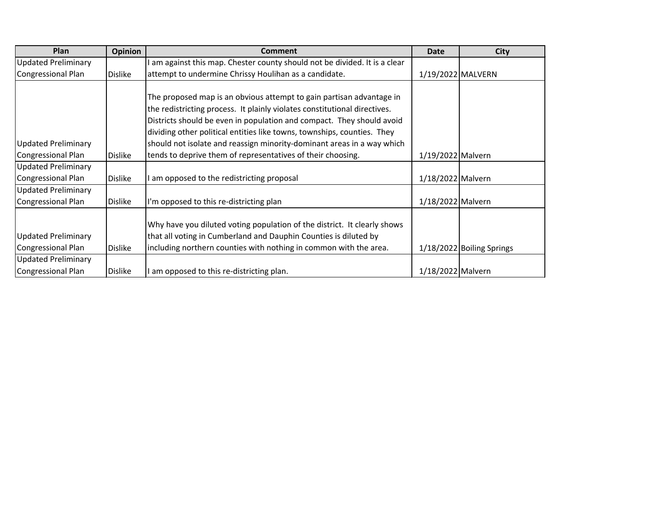| Plan                       | Opinion        | <b>Comment</b>                                                            | <b>Date</b>       | <b>City</b>               |
|----------------------------|----------------|---------------------------------------------------------------------------|-------------------|---------------------------|
| <b>Updated Preliminary</b> |                | am against this map. Chester county should not be divided. It is a clear  |                   |                           |
| Congressional Plan         | <b>Dislike</b> | attempt to undermine Chrissy Houlihan as a candidate.                     | 1/19/2022 MALVERN |                           |
|                            |                |                                                                           |                   |                           |
|                            |                | The proposed map is an obvious attempt to gain partisan advantage in      |                   |                           |
|                            |                | the redistricting process. It plainly violates constitutional directives. |                   |                           |
|                            |                | Districts should be even in population and compact. They should avoid     |                   |                           |
|                            |                | dividing other political entities like towns, townships, counties. They   |                   |                           |
| <b>Updated Preliminary</b> |                | should not isolate and reassign minority-dominant areas in a way which    |                   |                           |
| Congressional Plan         | <b>Dislike</b> | tends to deprive them of representatives of their choosing.               | 1/19/2022 Malvern |                           |
| <b>Updated Preliminary</b> |                |                                                                           |                   |                           |
| <b>Congressional Plan</b>  | <b>Dislike</b> | am opposed to the redistricting proposal                                  | 1/18/2022 Malvern |                           |
| <b>Updated Preliminary</b> |                |                                                                           |                   |                           |
| Congressional Plan         | <b>Dislike</b> | I'm opposed to this re-districting plan                                   | 1/18/2022 Malvern |                           |
|                            |                |                                                                           |                   |                           |
|                            |                | Why have you diluted voting population of the district. It clearly shows  |                   |                           |
| <b>Updated Preliminary</b> |                | that all voting in Cumberland and Dauphin Counties is diluted by          |                   |                           |
| Congressional Plan         | <b>Dislike</b> | including northern counties with nothing in common with the area.         |                   | 1/18/2022 Boiling Springs |
| <b>Updated Preliminary</b> |                |                                                                           |                   |                           |
| Congressional Plan         | <b>Dislike</b> | am opposed to this re-districting plan.                                   | 1/18/2022 Malvern |                           |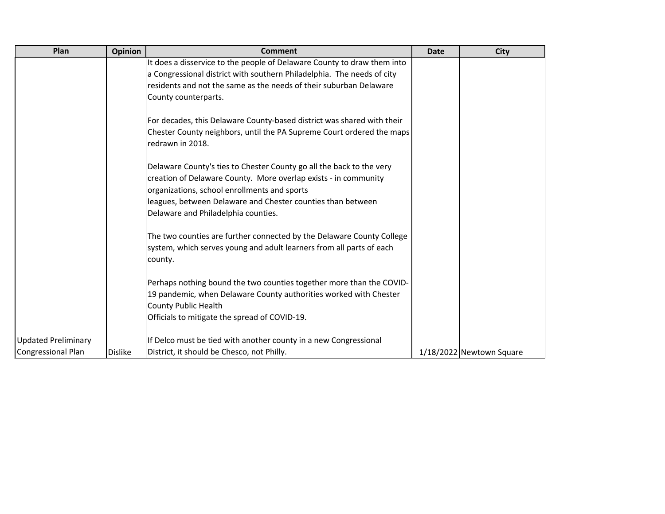| Plan                       | <b>Opinion</b> | <b>Comment</b>                                                                                                                                                                          | <b>Date</b> | <b>City</b>              |
|----------------------------|----------------|-----------------------------------------------------------------------------------------------------------------------------------------------------------------------------------------|-------------|--------------------------|
|                            |                | It does a disservice to the people of Delaware County to draw them into                                                                                                                 |             |                          |
|                            |                | a Congressional district with southern Philadelphia. The needs of city                                                                                                                  |             |                          |
|                            |                | residents and not the same as the needs of their suburban Delaware                                                                                                                      |             |                          |
|                            |                | County counterparts.                                                                                                                                                                    |             |                          |
|                            |                | For decades, this Delaware County-based district was shared with their                                                                                                                  |             |                          |
|                            |                | Chester County neighbors, until the PA Supreme Court ordered the maps<br>redrawn in 2018.                                                                                               |             |                          |
|                            |                | Delaware County's ties to Chester County go all the back to the very<br>creation of Delaware County. More overlap exists - in community<br>organizations, school enrollments and sports |             |                          |
|                            |                | leagues, between Delaware and Chester counties than between                                                                                                                             |             |                          |
|                            |                | Delaware and Philadelphia counties.                                                                                                                                                     |             |                          |
|                            |                | The two counties are further connected by the Delaware County College<br>system, which serves young and adult learners from all parts of each<br>county.                                |             |                          |
|                            |                | Perhaps nothing bound the two counties together more than the COVID-                                                                                                                    |             |                          |
|                            |                | 19 pandemic, when Delaware County authorities worked with Chester                                                                                                                       |             |                          |
|                            |                | <b>County Public Health</b>                                                                                                                                                             |             |                          |
|                            |                | Officials to mitigate the spread of COVID-19.                                                                                                                                           |             |                          |
| <b>Updated Preliminary</b> |                | If Delco must be tied with another county in a new Congressional                                                                                                                        |             |                          |
| <b>Congressional Plan</b>  | <b>Dislike</b> | District, it should be Chesco, not Philly.                                                                                                                                              |             | 1/18/2022 Newtown Square |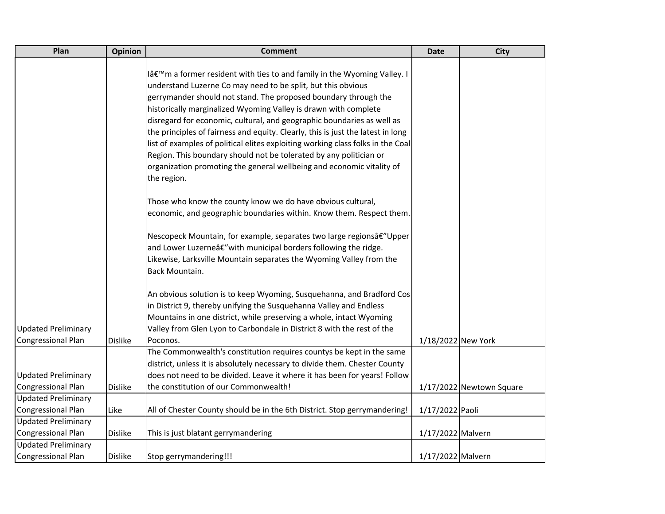| Plan                       | <b>Opinion</b> | <b>Comment</b>                                                                  | <b>Date</b>        | <b>City</b>              |
|----------------------------|----------------|---------------------------------------------------------------------------------|--------------------|--------------------------|
|                            |                |                                                                                 |                    |                          |
|                            |                | l'm a former resident with ties to and family in the Wyoming Valley. I          |                    |                          |
|                            |                | understand Luzerne Co may need to be split, but this obvious                    |                    |                          |
|                            |                | gerrymander should not stand. The proposed boundary through the                 |                    |                          |
|                            |                | historically marginalized Wyoming Valley is drawn with complete                 |                    |                          |
|                            |                | disregard for economic, cultural, and geographic boundaries as well as          |                    |                          |
|                            |                | the principles of fairness and equity. Clearly, this is just the latest in long |                    |                          |
|                            |                | list of examples of political elites exploiting working class folks in the Coal |                    |                          |
|                            |                | Region. This boundary should not be tolerated by any politician or              |                    |                          |
|                            |                | organization promoting the general wellbeing and economic vitality of           |                    |                          |
|                            |                | the region.                                                                     |                    |                          |
|                            |                | Those who know the county know we do have obvious cultural,                     |                    |                          |
|                            |                | economic, and geographic boundaries within. Know them. Respect them.            |                    |                          |
|                            |                | Nescopeck Mountain, for example, separates two large regionsâ€"Upper            |                    |                          |
|                            |                | and Lower Luzerneâ€" with municipal borders following the ridge.                |                    |                          |
|                            |                | Likewise, Larksville Mountain separates the Wyoming Valley from the             |                    |                          |
|                            |                | Back Mountain.                                                                  |                    |                          |
|                            |                | An obvious solution is to keep Wyoming, Susquehanna, and Bradford Cos           |                    |                          |
|                            |                | in District 9, thereby unifying the Susquehanna Valley and Endless              |                    |                          |
|                            |                | Mountains in one district, while preserving a whole, intact Wyoming             |                    |                          |
| <b>Updated Preliminary</b> |                | Valley from Glen Lyon to Carbondale in District 8 with the rest of the          |                    |                          |
| <b>Congressional Plan</b>  | <b>Dislike</b> | Poconos.                                                                        | 1/18/2022 New York |                          |
|                            |                | The Commonwealth's constitution requires countys be kept in the same            |                    |                          |
|                            |                | district, unless it is absolutely necessary to divide them. Chester County      |                    |                          |
| <b>Updated Preliminary</b> |                | does not need to be divided. Leave it where it has been for years! Follow       |                    |                          |
| <b>Congressional Plan</b>  | <b>Dislike</b> | the constitution of our Commonwealth!                                           |                    | 1/17/2022 Newtown Square |
| <b>Updated Preliminary</b> |                |                                                                                 |                    |                          |
| Congressional Plan         | Like           | All of Chester County should be in the 6th District. Stop gerrymandering!       | 1/17/2022 Paoli    |                          |
| <b>Updated Preliminary</b> |                |                                                                                 |                    |                          |
| <b>Congressional Plan</b>  | <b>Dislike</b> | This is just blatant gerrymandering                                             | 1/17/2022 Malvern  |                          |
| <b>Updated Preliminary</b> |                |                                                                                 |                    |                          |
| <b>Congressional Plan</b>  | <b>Dislike</b> | Stop gerrymandering!!!                                                          | 1/17/2022 Malvern  |                          |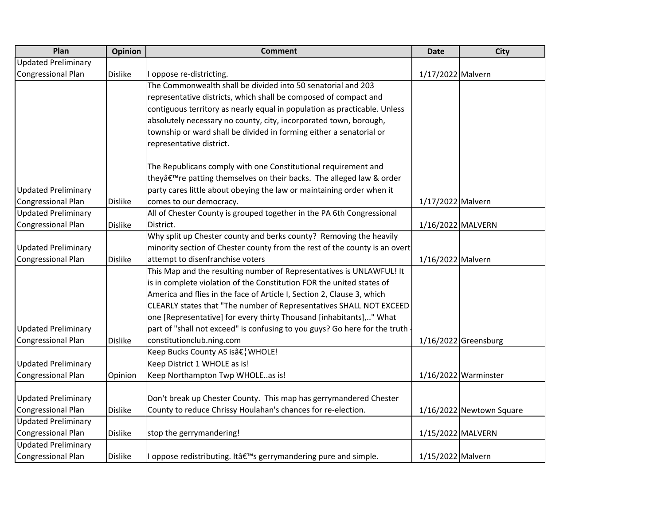| Plan                       | <b>Opinion</b> | <b>Comment</b>                                                                    | <b>Date</b>       | <b>City</b>              |
|----------------------------|----------------|-----------------------------------------------------------------------------------|-------------------|--------------------------|
| <b>Updated Preliminary</b> |                |                                                                                   |                   |                          |
| <b>Congressional Plan</b>  | <b>Dislike</b> | oppose re-districting.                                                            | 1/17/2022 Malvern |                          |
|                            |                | The Commonwealth shall be divided into 50 senatorial and 203                      |                   |                          |
|                            |                | representative districts, which shall be composed of compact and                  |                   |                          |
|                            |                | contiguous territory as nearly equal in population as practicable. Unless         |                   |                          |
|                            |                | absolutely necessary no county, city, incorporated town, borough,                 |                   |                          |
|                            |                | township or ward shall be divided in forming either a senatorial or               |                   |                          |
|                            |                | representative district.                                                          |                   |                          |
|                            |                | The Republicans comply with one Constitutional requirement and                    |                   |                          |
|                            |                | theyâ€ <sup>™</sup> re patting themselves on their backs. The alleged law & order |                   |                          |
| <b>Updated Preliminary</b> |                | party cares little about obeying the law or maintaining order when it             |                   |                          |
| Congressional Plan         | <b>Dislike</b> | comes to our democracy.                                                           | 1/17/2022 Malvern |                          |
| <b>Updated Preliminary</b> |                | All of Chester County is grouped together in the PA 6th Congressional             |                   |                          |
| <b>Congressional Plan</b>  | <b>Dislike</b> | District.                                                                         | 1/16/2022 MALVERN |                          |
|                            |                | Why split up Chester county and berks county? Removing the heavily                |                   |                          |
| <b>Updated Preliminary</b> |                | minority section of Chester county from the rest of the county is an overt        |                   |                          |
| Congressional Plan         | <b>Dislike</b> | attempt to disenfranchise voters                                                  | 1/16/2022 Malvern |                          |
|                            |                | This Map and the resulting number of Representatives is UNLAWFUL! It              |                   |                          |
|                            |                | is in complete violation of the Constitution FOR the united states of             |                   |                          |
|                            |                | America and flies in the face of Article I, Section 2, Clause 3, which            |                   |                          |
|                            |                | CLEARLY states that "The number of Representatives SHALL NOT EXCEED               |                   |                          |
|                            |                | one [Representative] for every thirty Thousand [inhabitants]," What               |                   |                          |
| <b>Updated Preliminary</b> |                | part of "shall not exceed" is confusing to you guys? Go here for the truth        |                   |                          |
| <b>Congressional Plan</b>  | <b>Dislike</b> | constitutionclub.ning.com                                                         |                   | $1/16/2022$ Greensburg   |
|                            |                | Keep Bucks County AS is†¦ WHOLE!                                                  |                   |                          |
| <b>Updated Preliminary</b> |                | Keep District 1 WHOLE as is!                                                      |                   |                          |
| <b>Congressional Plan</b>  | Opinion        | Keep Northampton Twp WHOLEas is!                                                  |                   | $1/16/2022$ Warminster   |
|                            |                |                                                                                   |                   |                          |
| <b>Updated Preliminary</b> |                | Don't break up Chester County. This map has gerrymandered Chester                 |                   |                          |
| Congressional Plan         | <b>Dislike</b> | County to reduce Chrissy Houlahan's chances for re-election.                      |                   | 1/16/2022 Newtown Square |
| <b>Updated Preliminary</b> |                |                                                                                   |                   |                          |
| Congressional Plan         | <b>Dislike</b> | stop the gerrymandering!                                                          | 1/15/2022 MALVERN |                          |
| <b>Updated Preliminary</b> |                |                                                                                   |                   |                          |
| <b>Congressional Plan</b>  | <b>Dislike</b> | I oppose redistributing. It's gerrymandering pure and simple.                     | 1/15/2022 Malvern |                          |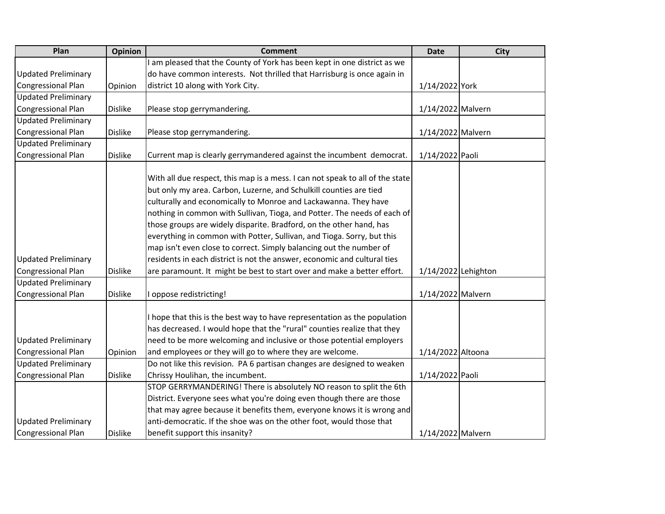| Plan                                             | <b>Opinion</b> | <b>Comment</b>                                                                                                                                                                                                                                                                                                                                                                                                                                                                                                                                                                                         | <b>Date</b>         | <b>City</b> |
|--------------------------------------------------|----------------|--------------------------------------------------------------------------------------------------------------------------------------------------------------------------------------------------------------------------------------------------------------------------------------------------------------------------------------------------------------------------------------------------------------------------------------------------------------------------------------------------------------------------------------------------------------------------------------------------------|---------------------|-------------|
|                                                  |                | am pleased that the County of York has been kept in one district as we                                                                                                                                                                                                                                                                                                                                                                                                                                                                                                                                 |                     |             |
| <b>Updated Preliminary</b>                       |                | do have common interests. Not thrilled that Harrisburg is once again in                                                                                                                                                                                                                                                                                                                                                                                                                                                                                                                                |                     |             |
| Congressional Plan                               | Opinion        | district 10 along with York City.                                                                                                                                                                                                                                                                                                                                                                                                                                                                                                                                                                      | 1/14/2022 York      |             |
| <b>Updated Preliminary</b>                       |                |                                                                                                                                                                                                                                                                                                                                                                                                                                                                                                                                                                                                        |                     |             |
| Congressional Plan                               | <b>Dislike</b> | Please stop gerrymandering.                                                                                                                                                                                                                                                                                                                                                                                                                                                                                                                                                                            | 1/14/2022 Malvern   |             |
| <b>Updated Preliminary</b>                       |                |                                                                                                                                                                                                                                                                                                                                                                                                                                                                                                                                                                                                        |                     |             |
| <b>Congressional Plan</b>                        | <b>Dislike</b> | Please stop gerrymandering.                                                                                                                                                                                                                                                                                                                                                                                                                                                                                                                                                                            | 1/14/2022 Malvern   |             |
| <b>Updated Preliminary</b>                       |                |                                                                                                                                                                                                                                                                                                                                                                                                                                                                                                                                                                                                        |                     |             |
| <b>Congressional Plan</b>                        | <b>Dislike</b> | Current map is clearly gerrymandered against the incumbent democrat.                                                                                                                                                                                                                                                                                                                                                                                                                                                                                                                                   | 1/14/2022 Paoli     |             |
| <b>Updated Preliminary</b>                       |                | With all due respect, this map is a mess. I can not speak to all of the state<br>but only my area. Carbon, Luzerne, and Schulkill counties are tied<br>culturally and economically to Monroe and Lackawanna. They have<br>nothing in common with Sullivan, Tioga, and Potter. The needs of each of<br>those groups are widely disparite. Bradford, on the other hand, has<br>everything in common with Potter, Sullivan, and Tioga. Sorry, but this<br>map isn't even close to correct. Simply balancing out the number of<br>residents in each district is not the answer, economic and cultural ties |                     |             |
| Congressional Plan                               | <b>Dislike</b> | are paramount. It might be best to start over and make a better effort.                                                                                                                                                                                                                                                                                                                                                                                                                                                                                                                                | 1/14/2022 Lehighton |             |
| <b>Updated Preliminary</b>                       |                |                                                                                                                                                                                                                                                                                                                                                                                                                                                                                                                                                                                                        |                     |             |
| Congressional Plan                               | <b>Dislike</b> | oppose redistricting!                                                                                                                                                                                                                                                                                                                                                                                                                                                                                                                                                                                  | 1/14/2022 Malvern   |             |
| <b>Updated Preliminary</b><br>Congressional Plan | Opinion        | I hope that this is the best way to have representation as the population<br>has decreased. I would hope that the "rural" counties realize that they<br>need to be more welcoming and inclusive or those potential employers<br>and employees or they will go to where they are welcome.                                                                                                                                                                                                                                                                                                               | 1/14/2022 Altoona   |             |
| <b>Updated Preliminary</b>                       |                | Do not like this revision. PA 6 partisan changes are designed to weaken                                                                                                                                                                                                                                                                                                                                                                                                                                                                                                                                |                     |             |
| Congressional Plan                               | <b>Dislike</b> | Chrissy Houlihan, the incumbent.                                                                                                                                                                                                                                                                                                                                                                                                                                                                                                                                                                       | 1/14/2022 Paoli     |             |
|                                                  |                | STOP GERRYMANDERING! There is absolutely NO reason to split the 6th                                                                                                                                                                                                                                                                                                                                                                                                                                                                                                                                    |                     |             |
|                                                  |                | District. Everyone sees what you're doing even though there are those                                                                                                                                                                                                                                                                                                                                                                                                                                                                                                                                  |                     |             |
|                                                  |                | that may agree because it benefits them, everyone knows it is wrong and                                                                                                                                                                                                                                                                                                                                                                                                                                                                                                                                |                     |             |
| <b>Updated Preliminary</b>                       |                | anti-democratic. If the shoe was on the other foot, would those that                                                                                                                                                                                                                                                                                                                                                                                                                                                                                                                                   |                     |             |
| <b>Congressional Plan</b>                        | <b>Dislike</b> | benefit support this insanity?                                                                                                                                                                                                                                                                                                                                                                                                                                                                                                                                                                         | 1/14/2022 Malvern   |             |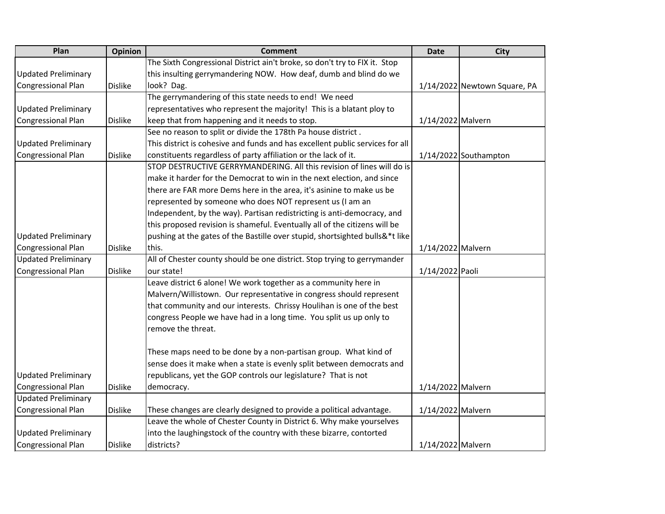| Plan                       | Opinion        | <b>Comment</b>                                                                | <b>Date</b>       | <b>City</b>                  |
|----------------------------|----------------|-------------------------------------------------------------------------------|-------------------|------------------------------|
|                            |                | The Sixth Congressional District ain't broke, so don't try to FIX it. Stop    |                   |                              |
| <b>Updated Preliminary</b> |                | this insulting gerrymandering NOW. How deaf, dumb and blind do we             |                   |                              |
| <b>Congressional Plan</b>  | <b>Dislike</b> | look? Dag.                                                                    |                   | 1/14/2022 Newtown Square, PA |
|                            |                | The gerrymandering of this state needs to end! We need                        |                   |                              |
| <b>Updated Preliminary</b> |                | representatives who represent the majority! This is a blatant ploy to         |                   |                              |
| Congressional Plan         | <b>Dislike</b> | keep that from happening and it needs to stop.                                | 1/14/2022 Malvern |                              |
|                            |                | See no reason to split or divide the 178th Pa house district.                 |                   |                              |
| <b>Updated Preliminary</b> |                | This district is cohesive and funds and has excellent public services for all |                   |                              |
| <b>Congressional Plan</b>  | <b>Dislike</b> | constituents regardless of party affiliation or the lack of it.               |                   | 1/14/2022 Southampton        |
|                            |                | STOP DESTRUCTIVE GERRYMANDERING. All this revision of lines will do is        |                   |                              |
|                            |                | make it harder for the Democrat to win in the next election, and since        |                   |                              |
|                            |                | there are FAR more Dems here in the area, it's asinine to make us be          |                   |                              |
|                            |                | represented by someone who does NOT represent us (I am an                     |                   |                              |
|                            |                | Independent, by the way). Partisan redistricting is anti-democracy, and       |                   |                              |
|                            |                | this proposed revision is shameful. Eventually all of the citizens will be    |                   |                              |
| <b>Updated Preliminary</b> |                | pushing at the gates of the Bastille over stupid, shortsighted bulls&*t like  |                   |                              |
| Congressional Plan         | <b>Dislike</b> | this.                                                                         | 1/14/2022 Malvern |                              |
| <b>Updated Preliminary</b> |                | All of Chester county should be one district. Stop trying to gerrymander      |                   |                              |
| Congressional Plan         | <b>Dislike</b> | our state!                                                                    | 1/14/2022 Paoli   |                              |
|                            |                | Leave district 6 alone! We work together as a community here in               |                   |                              |
|                            |                | Malvern/Willistown. Our representative in congress should represent           |                   |                              |
|                            |                | that community and our interests. Chrissy Houlihan is one of the best         |                   |                              |
|                            |                | congress People we have had in a long time. You split us up only to           |                   |                              |
|                            |                | remove the threat.                                                            |                   |                              |
|                            |                |                                                                               |                   |                              |
|                            |                | These maps need to be done by a non-partisan group. What kind of              |                   |                              |
|                            |                | sense does it make when a state is evenly split between democrats and         |                   |                              |
| <b>Updated Preliminary</b> |                | republicans, yet the GOP controls our legislature? That is not                |                   |                              |
| Congressional Plan         | <b>Dislike</b> | democracy.                                                                    | 1/14/2022 Malvern |                              |
| <b>Updated Preliminary</b> |                |                                                                               |                   |                              |
| Congressional Plan         | <b>Dislike</b> | These changes are clearly designed to provide a political advantage.          | 1/14/2022 Malvern |                              |
|                            |                | Leave the whole of Chester County in District 6. Why make yourselves          |                   |                              |
| <b>Updated Preliminary</b> |                | into the laughingstock of the country with these bizarre, contorted           |                   |                              |
| Congressional Plan         | <b>Dislike</b> | districts?                                                                    | 1/14/2022 Malvern |                              |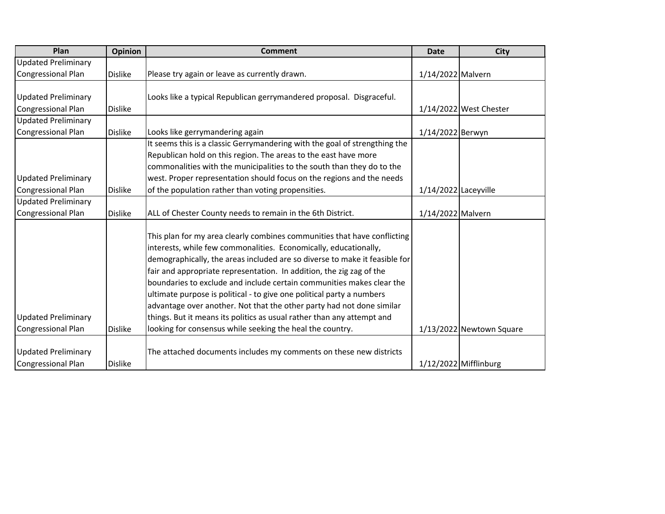| Plan                                                    | Opinion        | <b>Comment</b>                                                                                                                                                                                                                                                                                                                                                                                                                                                                                                                                                                                                                                                       | <b>Date</b>          | <b>City</b>              |
|---------------------------------------------------------|----------------|----------------------------------------------------------------------------------------------------------------------------------------------------------------------------------------------------------------------------------------------------------------------------------------------------------------------------------------------------------------------------------------------------------------------------------------------------------------------------------------------------------------------------------------------------------------------------------------------------------------------------------------------------------------------|----------------------|--------------------------|
| <b>Updated Preliminary</b>                              |                |                                                                                                                                                                                                                                                                                                                                                                                                                                                                                                                                                                                                                                                                      |                      |                          |
| <b>Congressional Plan</b>                               | <b>Dislike</b> | Please try again or leave as currently drawn.                                                                                                                                                                                                                                                                                                                                                                                                                                                                                                                                                                                                                        | 1/14/2022 Malvern    |                          |
|                                                         |                |                                                                                                                                                                                                                                                                                                                                                                                                                                                                                                                                                                                                                                                                      |                      |                          |
| <b>Updated Preliminary</b>                              |                | Looks like a typical Republican gerrymandered proposal. Disgraceful.                                                                                                                                                                                                                                                                                                                                                                                                                                                                                                                                                                                                 |                      |                          |
| <b>Congressional Plan</b>                               | <b>Dislike</b> |                                                                                                                                                                                                                                                                                                                                                                                                                                                                                                                                                                                                                                                                      |                      | 1/14/2022 West Chester   |
| <b>Updated Preliminary</b>                              |                |                                                                                                                                                                                                                                                                                                                                                                                                                                                                                                                                                                                                                                                                      |                      |                          |
| <b>Congressional Plan</b>                               | <b>Dislike</b> | Looks like gerrymandering again                                                                                                                                                                                                                                                                                                                                                                                                                                                                                                                                                                                                                                      | 1/14/2022 Berwyn     |                          |
|                                                         |                | It seems this is a classic Gerrymandering with the goal of strengthing the                                                                                                                                                                                                                                                                                                                                                                                                                                                                                                                                                                                           |                      |                          |
|                                                         |                | Republican hold on this region. The areas to the east have more                                                                                                                                                                                                                                                                                                                                                                                                                                                                                                                                                                                                      |                      |                          |
|                                                         |                | commonalities with the municipalities to the south than they do to the                                                                                                                                                                                                                                                                                                                                                                                                                                                                                                                                                                                               |                      |                          |
| <b>Updated Preliminary</b>                              |                | west. Proper representation should focus on the regions and the needs                                                                                                                                                                                                                                                                                                                                                                                                                                                                                                                                                                                                |                      |                          |
| <b>Congressional Plan</b>                               | <b>Dislike</b> | of the population rather than voting propensities.                                                                                                                                                                                                                                                                                                                                                                                                                                                                                                                                                                                                                   | 1/14/2022 Laceyville |                          |
| <b>Updated Preliminary</b>                              |                |                                                                                                                                                                                                                                                                                                                                                                                                                                                                                                                                                                                                                                                                      |                      |                          |
| <b>Congressional Plan</b>                               | <b>Dislike</b> | ALL of Chester County needs to remain in the 6th District.                                                                                                                                                                                                                                                                                                                                                                                                                                                                                                                                                                                                           | 1/14/2022 Malvern    |                          |
| <b>Updated Preliminary</b><br><b>Congressional Plan</b> | <b>Dislike</b> | This plan for my area clearly combines communities that have conflicting<br>interests, while few commonalities. Economically, educationally,<br>demographically, the areas included are so diverse to make it feasible for<br>fair and appropriate representation. In addition, the zig zag of the<br>boundaries to exclude and include certain communities makes clear the<br>ultimate purpose is political - to give one political party a numbers<br>advantage over another. Not that the other party had not done similar<br>things. But it means its politics as usual rather than any attempt and<br>looking for consensus while seeking the heal the country. |                      | 1/13/2022 Newtown Square |
| <b>Updated Preliminary</b><br><b>Congressional Plan</b> | <b>Dislike</b> | The attached documents includes my comments on these new districts                                                                                                                                                                                                                                                                                                                                                                                                                                                                                                                                                                                                   |                      | 1/12/2022 Mifflinburg    |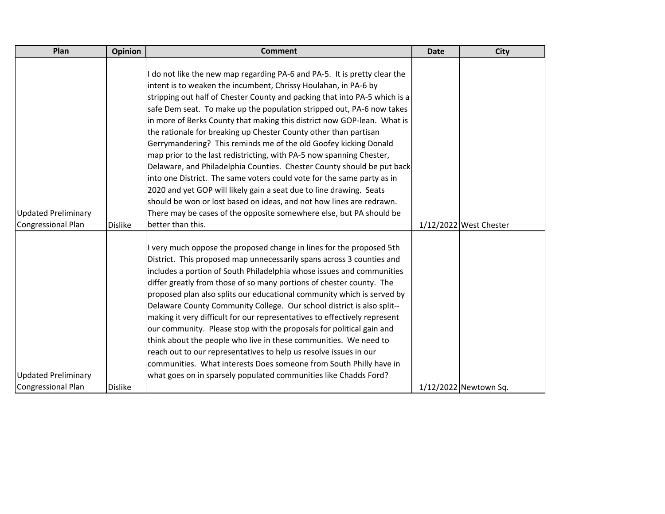| Plan                                                    | Opinion        | <b>Comment</b>                                                                                                                                                                                                                                                                                                                                                                                                                                                                                                                                                                                                                                                                                                                                                                                                            | <b>Date</b> | City                   |
|---------------------------------------------------------|----------------|---------------------------------------------------------------------------------------------------------------------------------------------------------------------------------------------------------------------------------------------------------------------------------------------------------------------------------------------------------------------------------------------------------------------------------------------------------------------------------------------------------------------------------------------------------------------------------------------------------------------------------------------------------------------------------------------------------------------------------------------------------------------------------------------------------------------------|-------------|------------------------|
|                                                         |                | I do not like the new map regarding PA-6 and PA-5. It is pretty clear the<br>intent is to weaken the incumbent, Chrissy Houlahan, in PA-6 by<br>stripping out half of Chester County and packing that into PA-5 which is a<br>safe Dem seat. To make up the population stripped out, PA-6 now takes<br>in more of Berks County that making this district now GOP-lean. What is<br>the rationale for breaking up Chester County other than partisan<br>Gerrymandering? This reminds me of the old Goofey kicking Donald<br>map prior to the last redistricting, with PA-5 now spanning Chester,<br>Delaware, and Philadelphia Counties. Chester County should be put back<br>into one District. The same voters could vote for the same party as in<br>2020 and yet GOP will likely gain a seat due to line drawing. Seats |             |                        |
|                                                         |                | should be won or lost based on ideas, and not how lines are redrawn.                                                                                                                                                                                                                                                                                                                                                                                                                                                                                                                                                                                                                                                                                                                                                      |             |                        |
| <b>Updated Preliminary</b><br><b>Congressional Plan</b> | <b>Dislike</b> | There may be cases of the opposite somewhere else, but PA should be<br>better than this.                                                                                                                                                                                                                                                                                                                                                                                                                                                                                                                                                                                                                                                                                                                                  |             | 1/12/2022 West Chester |
|                                                         |                |                                                                                                                                                                                                                                                                                                                                                                                                                                                                                                                                                                                                                                                                                                                                                                                                                           |             |                        |
|                                                         |                | I very much oppose the proposed change in lines for the proposed 5th<br>District. This proposed map unnecessarily spans across 3 counties and<br>includes a portion of South Philadelphia whose issues and communities<br>differ greatly from those of so many portions of chester county. The<br>proposed plan also splits our educational community which is served by<br>Delaware County Community College. Our school district is also split--<br>making it very difficult for our representatives to effectively represent<br>our community. Please stop with the proposals for political gain and<br>think about the people who live in these communities. We need to<br>reach out to our representatives to help us resolve issues in our<br>communities. What interests Does someone from South Philly have in    |             |                        |
| <b>Updated Preliminary</b>                              |                | what goes on in sparsely populated communities like Chadds Ford?                                                                                                                                                                                                                                                                                                                                                                                                                                                                                                                                                                                                                                                                                                                                                          |             |                        |
| <b>Congressional Plan</b>                               | <b>Dislike</b> |                                                                                                                                                                                                                                                                                                                                                                                                                                                                                                                                                                                                                                                                                                                                                                                                                           |             | 1/12/2022 Newtown Sq.  |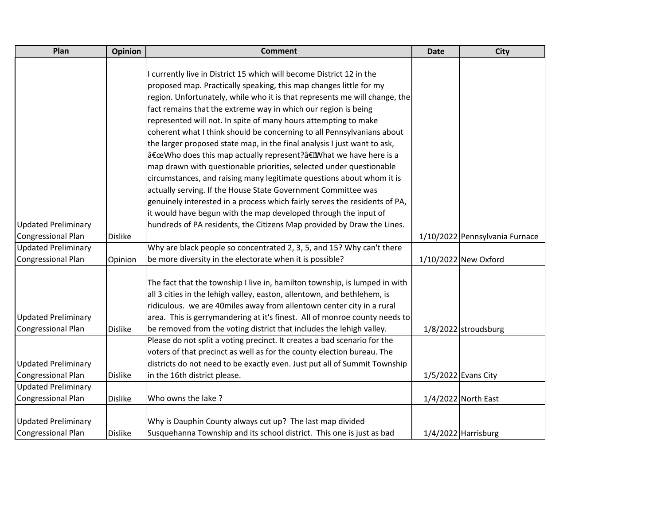| Plan                       | <b>Opinion</b> | <b>Comment</b>                                                             | <b>Date</b> | <b>City</b>                    |
|----------------------------|----------------|----------------------------------------------------------------------------|-------------|--------------------------------|
|                            |                |                                                                            |             |                                |
|                            |                | currently live in District 15 which will become District 12 in the         |             |                                |
|                            |                | proposed map. Practically speaking, this map changes little for my         |             |                                |
|                            |                | region. Unfortunately, while who it is that represents me will change, the |             |                                |
|                            |                | fact remains that the extreme way in which our region is being             |             |                                |
|                            |                | represented will not. In spite of many hours attempting to make            |             |                                |
|                            |                | coherent what I think should be concerning to all Pennsylvanians about     |             |                                |
|                            |                | the larger proposed state map, in the final analysis I just want to ask,   |             |                                |
|                            |                | "Who does this map actually represent?â€EMhat we have here is a            |             |                                |
|                            |                | map drawn with questionable priorities, selected under questionable        |             |                                |
|                            |                | circumstances, and raising many legitimate questions about whom it is      |             |                                |
|                            |                | actually serving. If the House State Government Committee was              |             |                                |
|                            |                | genuinely interested in a process which fairly serves the residents of PA, |             |                                |
|                            |                | it would have begun with the map developed through the input of            |             |                                |
| <b>Updated Preliminary</b> |                | hundreds of PA residents, the Citizens Map provided by Draw the Lines.     |             |                                |
| Congressional Plan         | <b>Dislike</b> |                                                                            |             | 1/10/2022 Pennsylvania Furnace |
| <b>Updated Preliminary</b> |                | Why are black people so concentrated 2, 3, 5, and 15? Why can't there      |             |                                |
| <b>Congressional Plan</b>  | Opinion        | be more diversity in the electorate when it is possible?                   |             | 1/10/2022 New Oxford           |
|                            |                |                                                                            |             |                                |
|                            |                | The fact that the township I live in, hamilton township, is lumped in with |             |                                |
|                            |                | all 3 cities in the lehigh valley, easton, allentown, and bethlehem, is    |             |                                |
|                            |                | ridiculous. we are 40miles away from allentown center city in a rural      |             |                                |
| <b>Updated Preliminary</b> |                | area. This is gerrymandering at it's finest. All of monroe county needs to |             |                                |
| <b>Congressional Plan</b>  | <b>Dislike</b> | be removed from the voting district that includes the lehigh valley.       |             | 1/8/2022 stroudsburg           |
|                            |                | Please do not split a voting precinct. It creates a bad scenario for the   |             |                                |
|                            |                | voters of that precinct as well as for the county election bureau. The     |             |                                |
| <b>Updated Preliminary</b> |                | districts do not need to be exactly even. Just put all of Summit Township  |             |                                |
| Congressional Plan         | <b>Dislike</b> | in the 16th district please.                                               |             | 1/5/2022 Evans City            |
| <b>Updated Preliminary</b> |                |                                                                            |             |                                |
| Congressional Plan         | <b>Dislike</b> | Who owns the lake?                                                         |             | 1/4/2022 North East            |
|                            |                |                                                                            |             |                                |
| <b>Updated Preliminary</b> |                | Why is Dauphin County always cut up? The last map divided                  |             |                                |
| Congressional Plan         | <b>Dislike</b> | Susquehanna Township and its school district. This one is just as bad      |             | 1/4/2022 Harrisburg            |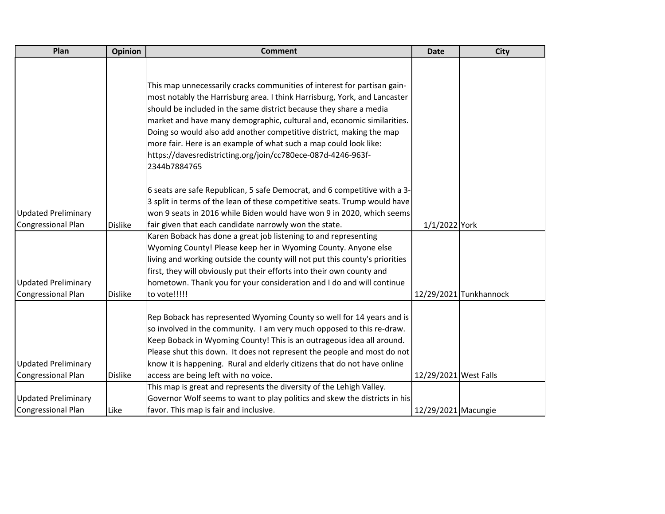| Plan                       | <b>Opinion</b> | <b>Comment</b>                                                              | <b>Date</b>           | <b>City</b>            |
|----------------------------|----------------|-----------------------------------------------------------------------------|-----------------------|------------------------|
|                            |                |                                                                             |                       |                        |
|                            |                |                                                                             |                       |                        |
|                            |                | This map unnecessarily cracks communities of interest for partisan gain-    |                       |                        |
|                            |                | most notably the Harrisburg area. I think Harrisburg, York, and Lancaster   |                       |                        |
|                            |                | should be included in the same district because they share a media          |                       |                        |
|                            |                | market and have many demographic, cultural and, economic similarities.      |                       |                        |
|                            |                | Doing so would also add another competitive district, making the map        |                       |                        |
|                            |                | more fair. Here is an example of what such a map could look like:           |                       |                        |
|                            |                | https://davesredistricting.org/join/cc780ece-087d-4246-963f-                |                       |                        |
|                            |                | 2344b7884765                                                                |                       |                        |
|                            |                | 6 seats are safe Republican, 5 safe Democrat, and 6 competitive with a 3-   |                       |                        |
|                            |                | 3 split in terms of the lean of these competitive seats. Trump would have   |                       |                        |
| <b>Updated Preliminary</b> |                | won 9 seats in 2016 while Biden would have won 9 in 2020, which seems       |                       |                        |
| <b>Congressional Plan</b>  | <b>Dislike</b> | fair given that each candidate narrowly won the state.                      | 1/1/2022 York         |                        |
|                            |                | Karen Boback has done a great job listening to and representing             |                       |                        |
|                            |                | Wyoming County! Please keep her in Wyoming County. Anyone else              |                       |                        |
|                            |                | living and working outside the county will not put this county's priorities |                       |                        |
|                            |                | first, they will obviously put their efforts into their own county and      |                       |                        |
| <b>Updated Preliminary</b> |                | hometown. Thank you for your consideration and I do and will continue       |                       |                        |
| <b>Congressional Plan</b>  | <b>Dislike</b> | to vote !!!!!                                                               |                       | 12/29/2021 Tunkhannock |
|                            |                | Rep Boback has represented Wyoming County so well for 14 years and is       |                       |                        |
|                            |                | so involved in the community. I am very much opposed to this re-draw.       |                       |                        |
|                            |                | Keep Boback in Wyoming County! This is an outrageous idea all around.       |                       |                        |
|                            |                | Please shut this down. It does not represent the people and most do not     |                       |                        |
| <b>Updated Preliminary</b> |                | know it is happening. Rural and elderly citizens that do not have online    |                       |                        |
| <b>Congressional Plan</b>  | <b>Dislike</b> | access are being left with no voice.                                        | 12/29/2021 West Falls |                        |
|                            |                | This map is great and represents the diversity of the Lehigh Valley.        |                       |                        |
| <b>Updated Preliminary</b> |                | Governor Wolf seems to want to play politics and skew the districts in his  |                       |                        |
| <b>Congressional Plan</b>  | Like           | favor. This map is fair and inclusive.                                      | 12/29/2021 Macungie   |                        |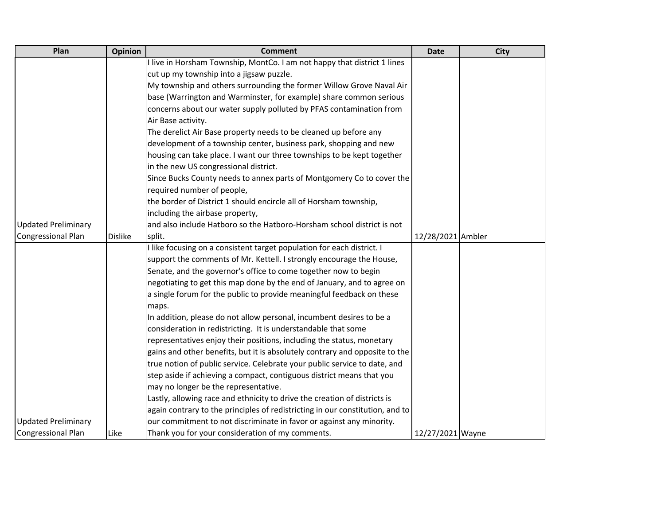| Plan                       | <b>Opinion</b> | <b>Comment</b>                                                                | <b>Date</b>       | <b>City</b> |
|----------------------------|----------------|-------------------------------------------------------------------------------|-------------------|-------------|
|                            |                | I live in Horsham Township, MontCo. I am not happy that district 1 lines      |                   |             |
|                            |                | cut up my township into a jigsaw puzzle.                                      |                   |             |
|                            |                | My township and others surrounding the former Willow Grove Naval Air          |                   |             |
|                            |                | base (Warrington and Warminster, for example) share common serious            |                   |             |
|                            |                | concerns about our water supply polluted by PFAS contamination from           |                   |             |
|                            |                | Air Base activity.                                                            |                   |             |
|                            |                | The derelict Air Base property needs to be cleaned up before any              |                   |             |
|                            |                | development of a township center, business park, shopping and new             |                   |             |
|                            |                | housing can take place. I want our three townships to be kept together        |                   |             |
|                            |                | in the new US congressional district.                                         |                   |             |
|                            |                | Since Bucks County needs to annex parts of Montgomery Co to cover the         |                   |             |
|                            |                | required number of people,                                                    |                   |             |
|                            |                | the border of District 1 should encircle all of Horsham township,             |                   |             |
|                            |                | including the airbase property,                                               |                   |             |
| <b>Updated Preliminary</b> |                | and also include Hatboro so the Hatboro-Horsham school district is not        |                   |             |
| Congressional Plan         | <b>Dislike</b> | split.                                                                        | 12/28/2021 Ambler |             |
|                            |                | I like focusing on a consistent target population for each district. I        |                   |             |
|                            |                | support the comments of Mr. Kettell. I strongly encourage the House,          |                   |             |
|                            |                | Senate, and the governor's office to come together now to begin               |                   |             |
|                            |                | negotiating to get this map done by the end of January, and to agree on       |                   |             |
|                            |                | a single forum for the public to provide meaningful feedback on these         |                   |             |
|                            |                | maps.                                                                         |                   |             |
|                            |                | In addition, please do not allow personal, incumbent desires to be a          |                   |             |
|                            |                | consideration in redistricting. It is understandable that some                |                   |             |
|                            |                | representatives enjoy their positions, including the status, monetary         |                   |             |
|                            |                | gains and other benefits, but it is absolutely contrary and opposite to the   |                   |             |
|                            |                | true notion of public service. Celebrate your public service to date, and     |                   |             |
|                            |                | step aside if achieving a compact, contiguous district means that you         |                   |             |
|                            |                | may no longer be the representative.                                          |                   |             |
|                            |                | Lastly, allowing race and ethnicity to drive the creation of districts is     |                   |             |
|                            |                | again contrary to the principles of redistricting in our constitution, and to |                   |             |
| <b>Updated Preliminary</b> |                | our commitment to not discriminate in favor or against any minority.          |                   |             |
| Congressional Plan         | Like           | Thank you for your consideration of my comments.                              | 12/27/2021 Wayne  |             |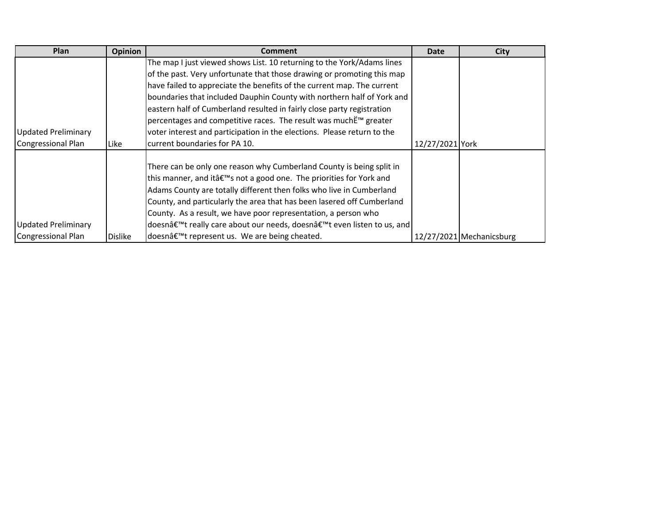| Plan                       | Opinion        | <b>Comment</b>                                                                     | Date            | <b>City</b>              |
|----------------------------|----------------|------------------------------------------------------------------------------------|-----------------|--------------------------|
|                            |                | The map I just viewed shows List. 10 returning to the York/Adams lines             |                 |                          |
|                            |                | of the past. Very unfortunate that those drawing or promoting this map             |                 |                          |
|                            |                | have failed to appreciate the benefits of the current map. The current             |                 |                          |
|                            |                | boundaries that included Dauphin County with northern half of York and             |                 |                          |
|                            |                | eastern half of Cumberland resulted in fairly close party registration             |                 |                          |
|                            |                | percentages and competitive races. The result was muchË™ greater                   |                 |                          |
| <b>Updated Preliminary</b> |                | voter interest and participation in the elections. Please return to the            |                 |                          |
| Congressional Plan         | Like           | current boundaries for PA 10.                                                      | 12/27/2021 York |                          |
|                            |                |                                                                                    |                 |                          |
|                            |                | There can be only one reason why Cumberland County is being split in               |                 |                          |
|                            |                | this manner, and itâ€ <sup>™</sup> s not a good one. The priorities for York and   |                 |                          |
|                            |                | Adams County are totally different then folks who live in Cumberland               |                 |                          |
|                            |                | County, and particularly the area that has been lasered off Cumberland             |                 |                          |
|                            |                | County. As a result, we have poor representation, a person who                     |                 |                          |
| <b>Updated Preliminary</b> |                | doesnâ€ <sup>™</sup> t really care about our needs, doesn't even listen to us, and |                 |                          |
| Congressional Plan         | <b>Dislike</b> | doesn't represent us. We are being cheated.                                        |                 | 12/27/2021 Mechanicsburg |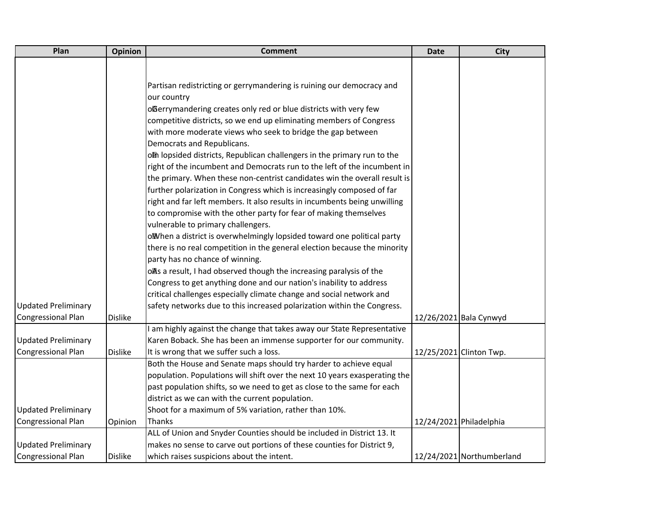| Plan                       | Opinion        | <b>Comment</b>                                                             | <b>Date</b> | <b>City</b>               |
|----------------------------|----------------|----------------------------------------------------------------------------|-------------|---------------------------|
|                            |                |                                                                            |             |                           |
|                            |                |                                                                            |             |                           |
|                            |                | Partisan redistricting or gerrymandering is ruining our democracy and      |             |                           |
|                            |                | our country                                                                |             |                           |
|                            |                | oßerrymandering creates only red or blue districts with very few           |             |                           |
|                            |                | competitive districts, so we end up eliminating members of Congress        |             |                           |
|                            |                | with more moderate views who seek to bridge the gap between                |             |                           |
|                            |                | Democrats and Republicans.                                                 |             |                           |
|                            |                | olh lopsided districts, Republican challengers in the primary run to the   |             |                           |
|                            |                | right of the incumbent and Democrats run to the left of the incumbent in   |             |                           |
|                            |                | the primary. When these non-centrist candidates win the overall result is  |             |                           |
|                            |                | further polarization in Congress which is increasingly composed of far     |             |                           |
|                            |                | right and far left members. It also results in incumbents being unwilling  |             |                           |
|                            |                | to compromise with the other party for fear of making themselves           |             |                           |
|                            |                | vulnerable to primary challengers.                                         |             |                           |
|                            |                | oWhen a district is overwhelmingly lopsided toward one political party     |             |                           |
|                            |                | there is no real competition in the general election because the minority  |             |                           |
|                            |                | party has no chance of winning.                                            |             |                           |
|                            |                | olls a result, I had observed though the increasing paralysis of the       |             |                           |
|                            |                | Congress to get anything done and our nation's inability to address        |             |                           |
|                            |                | critical challenges especially climate change and social network and       |             |                           |
| <b>Updated Preliminary</b> |                | safety networks due to this increased polarization within the Congress.    |             |                           |
| <b>Congressional Plan</b>  | <b>Dislike</b> |                                                                            |             | 12/26/2021 Bala Cynwyd    |
|                            |                | am highly against the change that takes away our State Representative      |             |                           |
| <b>Updated Preliminary</b> |                | Karen Boback. She has been an immense supporter for our community.         |             |                           |
| <b>Congressional Plan</b>  | <b>Dislike</b> | It is wrong that we suffer such a loss.                                    |             | 12/25/2021 Clinton Twp.   |
|                            |                | Both the House and Senate maps should try harder to achieve equal          |             |                           |
|                            |                | population. Populations will shift over the next 10 years exasperating the |             |                           |
|                            |                | past population shifts, so we need to get as close to the same for each    |             |                           |
|                            |                | district as we can with the current population.                            |             |                           |
| <b>Updated Preliminary</b> |                | Shoot for a maximum of 5% variation, rather than 10%.                      |             |                           |
| <b>Congressional Plan</b>  | Opinion        | Thanks                                                                     |             | 12/24/2021 Philadelphia   |
|                            |                | ALL of Union and Snyder Counties should be included in District 13. It     |             |                           |
| <b>Updated Preliminary</b> |                | makes no sense to carve out portions of these counties for District 9,     |             |                           |
| <b>Congressional Plan</b>  | <b>Dislike</b> | which raises suspicions about the intent.                                  |             | 12/24/2021 Northumberland |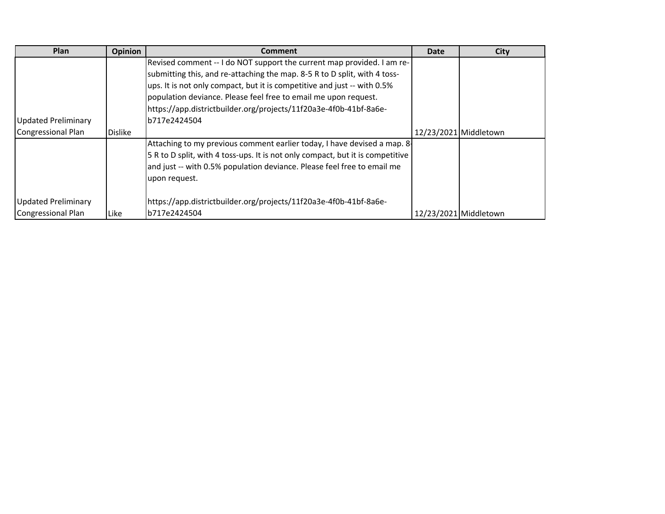| Plan                       | <b>Opinion</b> | <b>Comment</b>                                                                 | Date | <b>City</b>           |
|----------------------------|----------------|--------------------------------------------------------------------------------|------|-----------------------|
|                            |                | Revised comment -- I do NOT support the current map provided. I am re-         |      |                       |
|                            |                | submitting this, and re-attaching the map. 8-5 R to D split, with 4 toss-      |      |                       |
|                            |                | ups. It is not only compact, but it is competitive and just -- with 0.5%       |      |                       |
|                            |                | population deviance. Please feel free to email me upon request.                |      |                       |
|                            |                | https://app.districtbuilder.org/projects/11f20a3e-4f0b-41bf-8a6e-              |      |                       |
| <b>Updated Preliminary</b> |                | b717e2424504                                                                   |      |                       |
| Congressional Plan         | <b>Dislike</b> |                                                                                |      | 12/23/2021 Middletown |
|                            |                | Attaching to my previous comment earlier today, I have devised a map. 8-       |      |                       |
|                            |                | 5 R to D split, with 4 toss-ups. It is not only compact, but it is competitive |      |                       |
|                            |                | and just -- with 0.5% population deviance. Please feel free to email me        |      |                       |
|                            |                | upon request.                                                                  |      |                       |
| <b>Updated Preliminary</b> |                | https://app.districtbuilder.org/projects/11f20a3e-4f0b-41bf-8a6e-              |      |                       |
| Congressional Plan         | Like           | b717e2424504                                                                   |      | 12/23/2021 Middletown |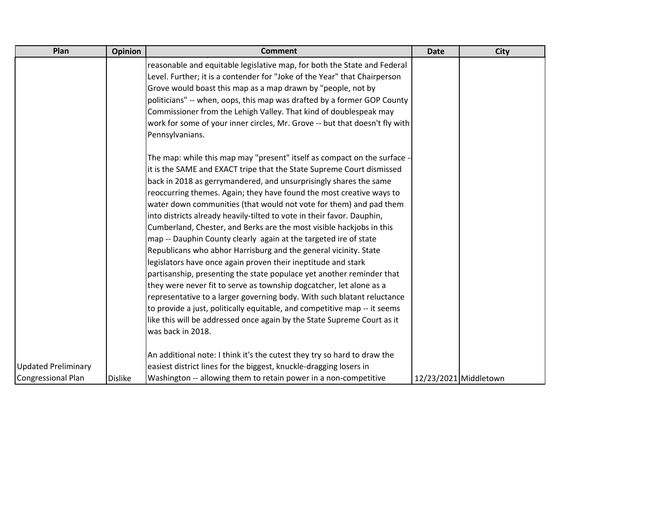| Plan                       | <b>Opinion</b> | <b>Comment</b>                                                              | <b>Date</b>           | <b>City</b> |
|----------------------------|----------------|-----------------------------------------------------------------------------|-----------------------|-------------|
|                            |                | reasonable and equitable legislative map, for both the State and Federal    |                       |             |
|                            |                | Level. Further; it is a contender for "Joke of the Year" that Chairperson   |                       |             |
|                            |                | Grove would boast this map as a map drawn by "people, not by                |                       |             |
|                            |                | politicians" -- when, oops, this map was drafted by a former GOP County     |                       |             |
|                            |                | Commissioner from the Lehigh Valley. That kind of doublespeak may           |                       |             |
|                            |                | work for some of your inner circles, Mr. Grove -- but that doesn't fly with |                       |             |
|                            |                | Pennsylvanians.                                                             |                       |             |
|                            |                | The map: while this map may "present" itself as compact on the surface -    |                       |             |
|                            |                | it is the SAME and EXACT tripe that the State Supreme Court dismissed       |                       |             |
|                            |                | back in 2018 as gerrymandered, and unsurprisingly shares the same           |                       |             |
|                            |                | reoccurring themes. Again; they have found the most creative ways to        |                       |             |
|                            |                | water down communities (that would not vote for them) and pad them          |                       |             |
|                            |                | into districts already heavily-tilted to vote in their favor. Dauphin,      |                       |             |
|                            |                | Cumberland, Chester, and Berks are the most visible hackjobs in this        |                       |             |
|                            |                | map -- Dauphin County clearly again at the targeted ire of state            |                       |             |
|                            |                | Republicans who abhor Harrisburg and the general vicinity. State            |                       |             |
|                            |                | legislators have once again proven their ineptitude and stark               |                       |             |
|                            |                | partisanship, presenting the state populace yet another reminder that       |                       |             |
|                            |                | they were never fit to serve as township dogcatcher, let alone as a         |                       |             |
|                            |                | representative to a larger governing body. With such blatant reluctance     |                       |             |
|                            |                | to provide a just, politically equitable, and competitive map -- it seems   |                       |             |
|                            |                | like this will be addressed once again by the State Supreme Court as it     |                       |             |
|                            |                | was back in 2018.                                                           |                       |             |
|                            |                | An additional note: I think it's the cutest they try so hard to draw the    |                       |             |
| <b>Updated Preliminary</b> |                | easiest district lines for the biggest, knuckle-dragging losers in          |                       |             |
| <b>Congressional Plan</b>  | <b>Dislike</b> | Washington -- allowing them to retain power in a non-competitive            | 12/23/2021 Middletown |             |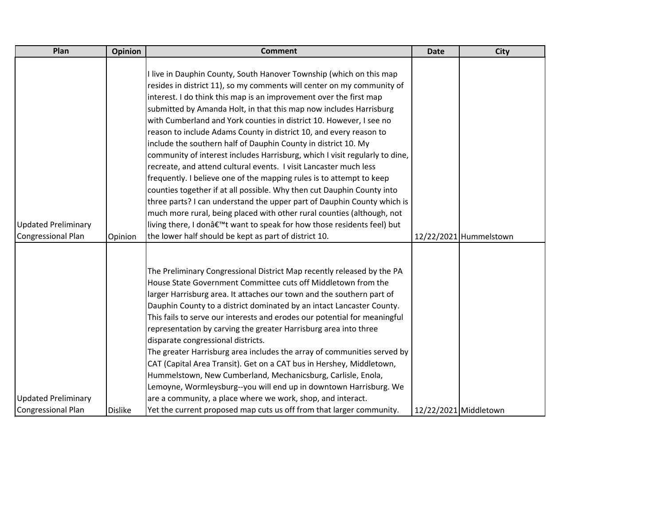| Plan                       | <b>Opinion</b> | <b>Comment</b>                                                              | <b>Date</b> | <b>City</b>            |
|----------------------------|----------------|-----------------------------------------------------------------------------|-------------|------------------------|
|                            |                |                                                                             |             |                        |
|                            |                | I live in Dauphin County, South Hanover Township (which on this map         |             |                        |
|                            |                | resides in district 11), so my comments will center on my community of      |             |                        |
|                            |                | interest. I do think this map is an improvement over the first map          |             |                        |
|                            |                | submitted by Amanda Holt, in that this map now includes Harrisburg          |             |                        |
|                            |                | with Cumberland and York counties in district 10. However, I see no         |             |                        |
|                            |                | reason to include Adams County in district 10, and every reason to          |             |                        |
|                            |                | include the southern half of Dauphin County in district 10. My              |             |                        |
|                            |                | community of interest includes Harrisburg, which I visit regularly to dine, |             |                        |
|                            |                | recreate, and attend cultural events. I visit Lancaster much less           |             |                        |
|                            |                | frequently. I believe one of the mapping rules is to attempt to keep        |             |                        |
|                            |                | counties together if at all possible. Why then cut Dauphin County into      |             |                        |
|                            |                | three parts? I can understand the upper part of Dauphin County which is     |             |                        |
|                            |                | much more rural, being placed with other rural counties (although, not      |             |                        |
| <b>Updated Preliminary</b> |                | living there, I don't want to speak for how those residents feel) but       |             |                        |
| Congressional Plan         | Opinion        | the lower half should be kept as part of district 10.                       |             | 12/22/2021 Hummelstown |
|                            |                |                                                                             |             |                        |
|                            |                |                                                                             |             |                        |
|                            |                | The Preliminary Congressional District Map recently released by the PA      |             |                        |
|                            |                | House State Government Committee cuts off Middletown from the               |             |                        |
|                            |                | larger Harrisburg area. It attaches our town and the southern part of       |             |                        |
|                            |                | Dauphin County to a district dominated by an intact Lancaster County.       |             |                        |
|                            |                | This fails to serve our interests and erodes our potential for meaningful   |             |                        |
|                            |                | representation by carving the greater Harrisburg area into three            |             |                        |
|                            |                | disparate congressional districts.                                          |             |                        |
|                            |                | The greater Harrisburg area includes the array of communities served by     |             |                        |
|                            |                | CAT (Capital Area Transit). Get on a CAT bus in Hershey, Middletown,        |             |                        |
|                            |                | Hummelstown, New Cumberland, Mechanicsburg, Carlisle, Enola,                |             |                        |
|                            |                | Lemoyne, Wormleysburg--you will end up in downtown Harrisburg. We           |             |                        |
| <b>Updated Preliminary</b> |                | are a community, a place where we work, shop, and interact.                 |             |                        |
| <b>Congressional Plan</b>  | <b>Dislike</b> | Yet the current proposed map cuts us off from that larger community.        |             | 12/22/2021 Middletown  |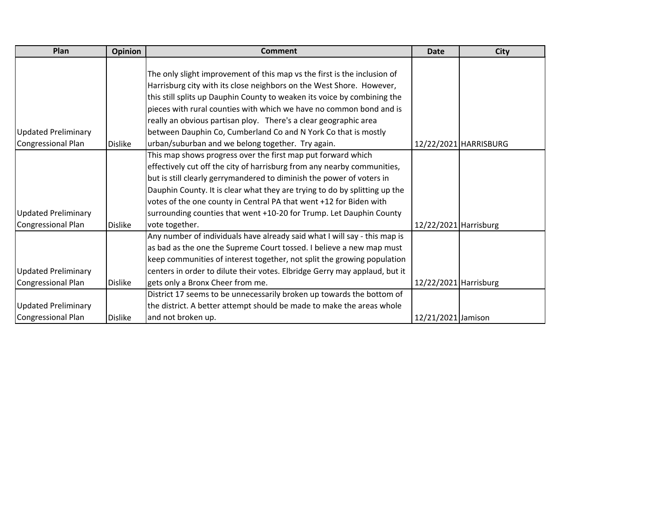| Plan                       | <b>Opinion</b> | <b>Comment</b>                                                             | <b>Date</b>           | <b>City</b>           |
|----------------------------|----------------|----------------------------------------------------------------------------|-----------------------|-----------------------|
|                            |                |                                                                            |                       |                       |
|                            |                | The only slight improvement of this map vs the first is the inclusion of   |                       |                       |
|                            |                | Harrisburg city with its close neighbors on the West Shore. However,       |                       |                       |
|                            |                | this still splits up Dauphin County to weaken its voice by combining the   |                       |                       |
|                            |                | pieces with rural counties with which we have no common bond and is        |                       |                       |
|                            |                | really an obvious partisan ploy. There's a clear geographic area           |                       |                       |
| <b>Updated Preliminary</b> |                | between Dauphin Co, Cumberland Co and N York Co that is mostly             |                       |                       |
| Congressional Plan         | <b>Dislike</b> | urban/suburban and we belong together. Try again.                          |                       | 12/22/2021 HARRISBURG |
|                            |                | This map shows progress over the first map put forward which               |                       |                       |
|                            |                | effectively cut off the city of harrisburg from any nearby communities,    |                       |                       |
|                            |                | but is still clearly gerrymandered to diminish the power of voters in      |                       |                       |
|                            |                | Dauphin County. It is clear what they are trying to do by splitting up the |                       |                       |
|                            |                | votes of the one county in Central PA that went +12 for Biden with         |                       |                       |
| <b>Updated Preliminary</b> |                | surrounding counties that went +10-20 for Trump. Let Dauphin County        |                       |                       |
| Congressional Plan         | <b>Dislike</b> | vote together.                                                             | 12/22/2021 Harrisburg |                       |
|                            |                | Any number of individuals have already said what I will say - this map is  |                       |                       |
|                            |                | as bad as the one the Supreme Court tossed. I believe a new map must       |                       |                       |
|                            |                | keep communities of interest together, not split the growing population    |                       |                       |
| <b>Updated Preliminary</b> |                | centers in order to dilute their votes. Elbridge Gerry may applaud, but it |                       |                       |
| Congressional Plan         | <b>Dislike</b> | gets only a Bronx Cheer from me.                                           | 12/22/2021 Harrisburg |                       |
|                            |                | District 17 seems to be unnecessarily broken up towards the bottom of      |                       |                       |
| <b>Updated Preliminary</b> |                | the district. A better attempt should be made to make the areas whole      |                       |                       |
| Congressional Plan         | <b>Dislike</b> | and not broken up.                                                         | 12/21/2021 Jamison    |                       |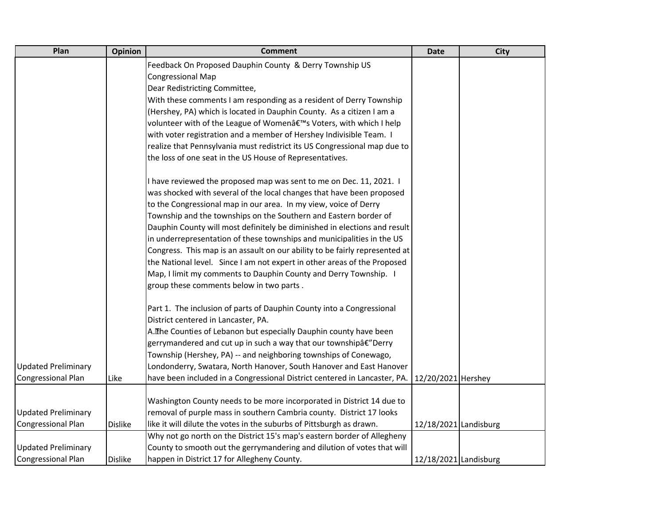| Plan                       | Opinion        | <b>Comment</b>                                                              | <b>Date</b>           | City |
|----------------------------|----------------|-----------------------------------------------------------------------------|-----------------------|------|
|                            |                | Feedback On Proposed Dauphin County & Derry Township US                     |                       |      |
|                            |                | <b>Congressional Map</b>                                                    |                       |      |
|                            |                | Dear Redistricting Committee,                                               |                       |      |
|                            |                | With these comments I am responding as a resident of Derry Township         |                       |      |
|                            |                | (Hershey, PA) which is located in Dauphin County. As a citizen I am a       |                       |      |
|                            |                | volunteer with of the League of Women's Voters, with which I help           |                       |      |
|                            |                | with voter registration and a member of Hershey Indivisible Team. I         |                       |      |
|                            |                | realize that Pennsylvania must redistrict its US Congressional map due to   |                       |      |
|                            |                | the loss of one seat in the US House of Representatives.                    |                       |      |
|                            |                | I have reviewed the proposed map was sent to me on Dec. 11, 2021. I         |                       |      |
|                            |                | was shocked with several of the local changes that have been proposed       |                       |      |
|                            |                | to the Congressional map in our area. In my view, voice of Derry            |                       |      |
|                            |                | Township and the townships on the Southern and Eastern border of            |                       |      |
|                            |                | Dauphin County will most definitely be diminished in elections and result   |                       |      |
|                            |                | in underrepresentation of these townships and municipalities in the US      |                       |      |
|                            |                | Congress. This map is an assault on our ability to be fairly represented at |                       |      |
|                            |                | the National level. Since I am not expert in other areas of the Proposed    |                       |      |
|                            |                | Map, I limit my comments to Dauphin County and Derry Township. I            |                       |      |
|                            |                | group these comments below in two parts.                                    |                       |      |
|                            |                | Part 1. The inclusion of parts of Dauphin County into a Congressional       |                       |      |
|                            |                | District centered in Lancaster, PA.                                         |                       |      |
|                            |                | A. The Counties of Lebanon but especially Dauphin county have been          |                       |      |
|                            |                | gerrymandered and cut up in such a way that our townshipâ€"Derry            |                       |      |
|                            |                | Township (Hershey, PA) -- and neighboring townships of Conewago,            |                       |      |
| <b>Updated Preliminary</b> |                | Londonderry, Swatara, North Hanover, South Hanover and East Hanover         |                       |      |
| <b>Congressional Plan</b>  | Like           | have been included in a Congressional District centered in Lancaster, PA.   | 12/20/2021 Hershey    |      |
|                            |                | Washington County needs to be more incorporated in District 14 due to       |                       |      |
| <b>Updated Preliminary</b> |                | removal of purple mass in southern Cambria county. District 17 looks        |                       |      |
| Congressional Plan         | <b>Dislike</b> | like it will dilute the votes in the suburbs of Pittsburgh as drawn.        | 12/18/2021 Landisburg |      |
|                            |                | Why not go north on the District 15's map's eastern border of Allegheny     |                       |      |
| <b>Updated Preliminary</b> |                | County to smooth out the gerrymandering and dilution of votes that will     |                       |      |
| <b>Congressional Plan</b>  | <b>Dislike</b> | happen in District 17 for Allegheny County.                                 | 12/18/2021 Landisburg |      |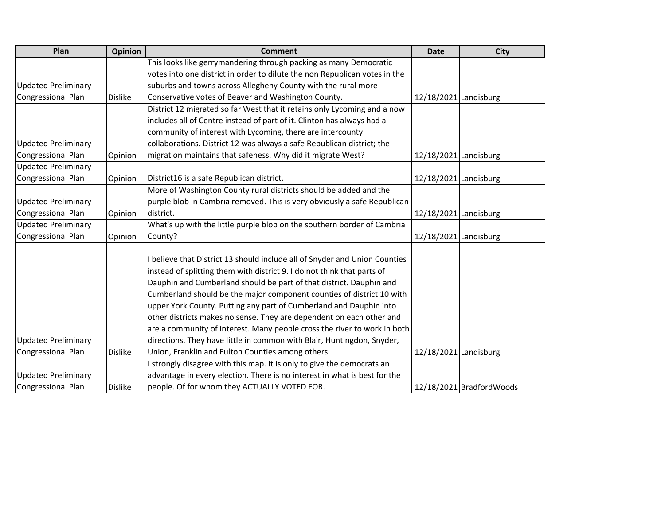| Plan                       | <b>Opinion</b> | <b>Comment</b>                                                             | <b>Date</b>           | <b>City</b>               |
|----------------------------|----------------|----------------------------------------------------------------------------|-----------------------|---------------------------|
|                            |                | This looks like gerrymandering through packing as many Democratic          |                       |                           |
|                            |                | votes into one district in order to dilute the non Republican votes in the |                       |                           |
| <b>Updated Preliminary</b> |                | suburbs and towns across Allegheny County with the rural more              |                       |                           |
| <b>Congressional Plan</b>  | <b>Dislike</b> | Conservative votes of Beaver and Washington County.                        | 12/18/2021 Landisburg |                           |
|                            |                | District 12 migrated so far West that it retains only Lycoming and a now   |                       |                           |
|                            |                | includes all of Centre instead of part of it. Clinton has always had a     |                       |                           |
|                            |                | community of interest with Lycoming, there are intercounty                 |                       |                           |
| <b>Updated Preliminary</b> |                | collaborations. District 12 was always a safe Republican district; the     |                       |                           |
| <b>Congressional Plan</b>  | Opinion        | migration maintains that safeness. Why did it migrate West?                | 12/18/2021 Landisburg |                           |
| <b>Updated Preliminary</b> |                |                                                                            |                       |                           |
| <b>Congressional Plan</b>  | Opinion        | District16 is a safe Republican district.                                  | 12/18/2021 Landisburg |                           |
|                            |                | More of Washington County rural districts should be added and the          |                       |                           |
| <b>Updated Preliminary</b> |                | purple blob in Cambria removed. This is very obviously a safe Republican   |                       |                           |
| <b>Congressional Plan</b>  | Opinion        | district.                                                                  | 12/18/2021 Landisburg |                           |
| <b>Updated Preliminary</b> |                | What's up with the little purple blob on the southern border of Cambria    |                       |                           |
| <b>Congressional Plan</b>  | Opinion        | County?                                                                    | 12/18/2021 Landisburg |                           |
|                            |                |                                                                            |                       |                           |
|                            |                | believe that District 13 should include all of Snyder and Union Counties   |                       |                           |
|                            |                | instead of splitting them with district 9. I do not think that parts of    |                       |                           |
|                            |                | Dauphin and Cumberland should be part of that district. Dauphin and        |                       |                           |
|                            |                | Cumberland should be the major component counties of district 10 with      |                       |                           |
|                            |                | upper York County. Putting any part of Cumberland and Dauphin into         |                       |                           |
|                            |                | other districts makes no sense. They are dependent on each other and       |                       |                           |
|                            |                | are a community of interest. Many people cross the river to work in both   |                       |                           |
| <b>Updated Preliminary</b> |                | directions. They have little in common with Blair, Huntingdon, Snyder,     |                       |                           |
| <b>Congressional Plan</b>  | <b>Dislike</b> | Union, Franklin and Fulton Counties among others.                          | 12/18/2021 Landisburg |                           |
|                            |                | strongly disagree with this map. It is only to give the democrats an       |                       |                           |
| <b>Updated Preliminary</b> |                | advantage in every election. There is no interest in what is best for the  |                       |                           |
| <b>Congressional Plan</b>  | <b>Dislike</b> | people. Of for whom they ACTUALLY VOTED FOR.                               |                       | 12/18/2021 Bradford Woods |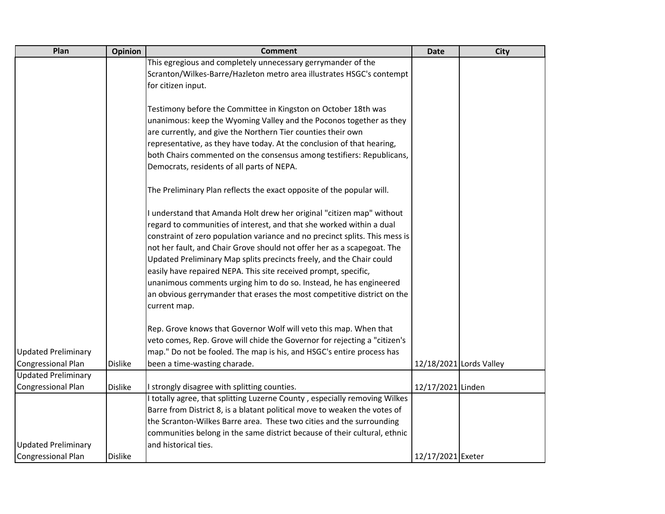| Plan                       | Opinion        | <b>Comment</b>                                                              | <b>Date</b>       | <b>City</b>             |
|----------------------------|----------------|-----------------------------------------------------------------------------|-------------------|-------------------------|
|                            |                | This egregious and completely unnecessary gerrymander of the                |                   |                         |
|                            |                | Scranton/Wilkes-Barre/Hazleton metro area illustrates HSGC's contempt       |                   |                         |
|                            |                | for citizen input.                                                          |                   |                         |
|                            |                |                                                                             |                   |                         |
|                            |                | Testimony before the Committee in Kingston on October 18th was              |                   |                         |
|                            |                | unanimous: keep the Wyoming Valley and the Poconos together as they         |                   |                         |
|                            |                | are currently, and give the Northern Tier counties their own                |                   |                         |
|                            |                | representative, as they have today. At the conclusion of that hearing,      |                   |                         |
|                            |                | both Chairs commented on the consensus among testifiers: Republicans,       |                   |                         |
|                            |                | Democrats, residents of all parts of NEPA.                                  |                   |                         |
|                            |                | The Preliminary Plan reflects the exact opposite of the popular will.       |                   |                         |
|                            |                | understand that Amanda Holt drew her original "citizen map" without         |                   |                         |
|                            |                | regard to communities of interest, and that she worked within a dual        |                   |                         |
|                            |                | constraint of zero population variance and no precinct splits. This mess is |                   |                         |
|                            |                | not her fault, and Chair Grove should not offer her as a scapegoat. The     |                   |                         |
|                            |                | Updated Preliminary Map splits precincts freely, and the Chair could        |                   |                         |
|                            |                | easily have repaired NEPA. This site received prompt, specific,             |                   |                         |
|                            |                | unanimous comments urging him to do so. Instead, he has engineered          |                   |                         |
|                            |                | an obvious gerrymander that erases the most competitive district on the     |                   |                         |
|                            |                | current map.                                                                |                   |                         |
|                            |                | Rep. Grove knows that Governor Wolf will veto this map. When that           |                   |                         |
|                            |                | veto comes, Rep. Grove will chide the Governor for rejecting a "citizen's   |                   |                         |
| <b>Updated Preliminary</b> |                | map." Do not be fooled. The map is his, and HSGC's entire process has       |                   |                         |
| <b>Congressional Plan</b>  | <b>Dislike</b> | been a time-wasting charade.                                                |                   | 12/18/2021 Lords Valley |
| <b>Updated Preliminary</b> |                |                                                                             |                   |                         |
| <b>Congressional Plan</b>  | <b>Dislike</b> | I strongly disagree with splitting counties.                                | 12/17/2021 Linden |                         |
|                            |                | I totally agree, that splitting Luzerne County, especially removing Wilkes  |                   |                         |
|                            |                | Barre from District 8, is a blatant political move to weaken the votes of   |                   |                         |
|                            |                | the Scranton-Wilkes Barre area. These two cities and the surrounding        |                   |                         |
|                            |                | communities belong in the same district because of their cultural, ethnic   |                   |                         |
| <b>Updated Preliminary</b> |                | and historical ties.                                                        |                   |                         |
| <b>Congressional Plan</b>  | <b>Dislike</b> |                                                                             | 12/17/2021 Exeter |                         |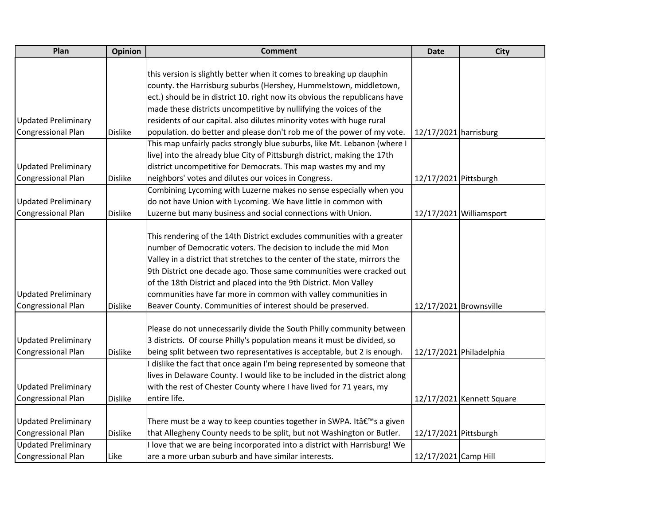| Plan                       | <b>Opinion</b> | <b>Comment</b>                                                              | <b>Date</b>            | <b>City</b>               |
|----------------------------|----------------|-----------------------------------------------------------------------------|------------------------|---------------------------|
|                            |                |                                                                             |                        |                           |
|                            |                | this version is slightly better when it comes to breaking up dauphin        |                        |                           |
|                            |                | county. the Harrisburg suburbs (Hershey, Hummelstown, middletown,           |                        |                           |
|                            |                | ect.) should be in district 10. right now its obvious the republicans have  |                        |                           |
|                            |                | made these districts uncompetitive by nullifying the voices of the          |                        |                           |
| <b>Updated Preliminary</b> |                | residents of our capital. also dilutes minority votes with huge rural       |                        |                           |
| Congressional Plan         | <b>Dislike</b> | population. do better and please don't rob me of the power of my vote.      | 12/17/2021 harrisburg  |                           |
|                            |                | This map unfairly packs strongly blue suburbs, like Mt. Lebanon (where I    |                        |                           |
|                            |                | live) into the already blue City of Pittsburgh district, making the 17th    |                        |                           |
| <b>Updated Preliminary</b> |                | district uncompetitive for Democrats. This map wastes my and my             |                        |                           |
| Congressional Plan         | <b>Dislike</b> | neighbors' votes and dilutes our voices in Congress.                        | 12/17/2021 Pittsburgh  |                           |
|                            |                | Combining Lycoming with Luzerne makes no sense especially when you          |                        |                           |
| <b>Updated Preliminary</b> |                | do not have Union with Lycoming. We have little in common with              |                        |                           |
| <b>Congressional Plan</b>  | <b>Dislike</b> | Luzerne but many business and social connections with Union.                |                        | 12/17/2021 Williamsport   |
|                            |                |                                                                             |                        |                           |
|                            |                | This rendering of the 14th District excludes communities with a greater     |                        |                           |
|                            |                | number of Democratic voters. The decision to include the mid Mon            |                        |                           |
|                            |                | Valley in a district that stretches to the center of the state, mirrors the |                        |                           |
|                            |                | 9th District one decade ago. Those same communities were cracked out        |                        |                           |
|                            |                | of the 18th District and placed into the 9th District. Mon Valley           |                        |                           |
| <b>Updated Preliminary</b> |                | communities have far more in common with valley communities in              |                        |                           |
| Congressional Plan         | <b>Dislike</b> | Beaver County. Communities of interest should be preserved.                 | 12/17/2021 Brownsville |                           |
|                            |                |                                                                             |                        |                           |
|                            |                | Please do not unnecessarily divide the South Philly community between       |                        |                           |
| <b>Updated Preliminary</b> |                | 3 districts. Of course Philly's population means it must be divided, so     |                        |                           |
| <b>Congressional Plan</b>  | <b>Dislike</b> | being split between two representatives is acceptable, but 2 is enough.     |                        | 12/17/2021 Philadelphia   |
|                            |                | I dislike the fact that once again I'm being represented by someone that    |                        |                           |
|                            |                | lives in Delaware County. I would like to be included in the district along |                        |                           |
| <b>Updated Preliminary</b> |                | with the rest of Chester County where I have lived for 71 years, my         |                        |                           |
| <b>Congressional Plan</b>  | <b>Dislike</b> | entire life.                                                                |                        | 12/17/2021 Kennett Square |
|                            |                |                                                                             |                        |                           |
| <b>Updated Preliminary</b> |                | There must be a way to keep counties together in SWPA. It's a given         |                        |                           |
| Congressional Plan         | <b>Dislike</b> | that Allegheny County needs to be split, but not Washington or Butler.      | 12/17/2021 Pittsburgh  |                           |
| <b>Updated Preliminary</b> |                | I love that we are being incorporated into a district with Harrisburg! We   |                        |                           |
| Congressional Plan         | Like           | are a more urban suburb and have similar interests.                         | 12/17/2021 Camp Hill   |                           |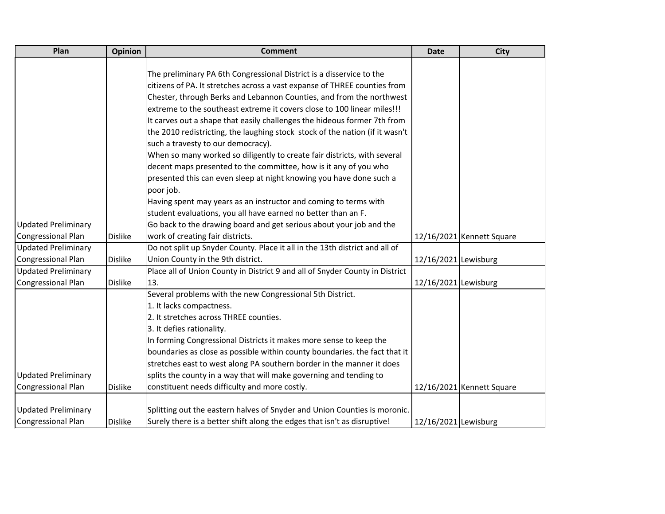| Plan                       | Opinion        | <b>Comment</b>                                                               | <b>Date</b>          | <b>City</b>               |
|----------------------------|----------------|------------------------------------------------------------------------------|----------------------|---------------------------|
|                            |                |                                                                              |                      |                           |
|                            |                | The preliminary PA 6th Congressional District is a disservice to the         |                      |                           |
|                            |                | citizens of PA. It stretches across a vast expanse of THREE counties from    |                      |                           |
|                            |                | Chester, through Berks and Lebannon Counties, and from the northwest         |                      |                           |
|                            |                | extreme to the southeast extreme it covers close to 100 linear miles!!!      |                      |                           |
|                            |                | It carves out a shape that easily challenges the hideous former 7th from     |                      |                           |
|                            |                | the 2010 redistricting, the laughing stock stock of the nation (if it wasn't |                      |                           |
|                            |                | such a travesty to our democracy).                                           |                      |                           |
|                            |                | When so many worked so diligently to create fair districts, with several     |                      |                           |
|                            |                | decent maps presented to the committee, how is it any of you who             |                      |                           |
|                            |                | presented this can even sleep at night knowing you have done such a          |                      |                           |
|                            |                | poor job.                                                                    |                      |                           |
|                            |                | Having spent may years as an instructor and coming to terms with             |                      |                           |
|                            |                | student evaluations, you all have earned no better than an F.                |                      |                           |
| <b>Updated Preliminary</b> |                | Go back to the drawing board and get serious about your job and the          |                      |                           |
| Congressional Plan         | <b>Dislike</b> | work of creating fair districts.                                             |                      | 12/16/2021 Kennett Square |
| <b>Updated Preliminary</b> |                | Do not split up Snyder County. Place it all in the 13th district and all of  |                      |                           |
| Congressional Plan         | <b>Dislike</b> | Union County in the 9th district.                                            | 12/16/2021 Lewisburg |                           |
| <b>Updated Preliminary</b> |                | Place all of Union County in District 9 and all of Snyder County in District |                      |                           |
| Congressional Plan         | <b>Dislike</b> | 13.                                                                          | 12/16/2021 Lewisburg |                           |
|                            |                | Several problems with the new Congressional 5th District.                    |                      |                           |
|                            |                | 1. It lacks compactness.                                                     |                      |                           |
|                            |                | 2. It stretches across THREE counties.                                       |                      |                           |
|                            |                | 3. It defies rationality.                                                    |                      |                           |
|                            |                | In forming Congressional Districts it makes more sense to keep the           |                      |                           |
|                            |                | boundaries as close as possible within county boundaries. the fact that it   |                      |                           |
|                            |                | stretches east to west along PA southern border in the manner it does        |                      |                           |
| <b>Updated Preliminary</b> |                | splits the county in a way that will make governing and tending to           |                      |                           |
| Congressional Plan         | <b>Dislike</b> | constituent needs difficulty and more costly.                                |                      | 12/16/2021 Kennett Square |
|                            |                |                                                                              |                      |                           |
| <b>Updated Preliminary</b> |                | Splitting out the eastern halves of Snyder and Union Counties is moronic.    |                      |                           |
| Congressional Plan         | <b>Dislike</b> | Surely there is a better shift along the edges that isn't as disruptive!     | 12/16/2021 Lewisburg |                           |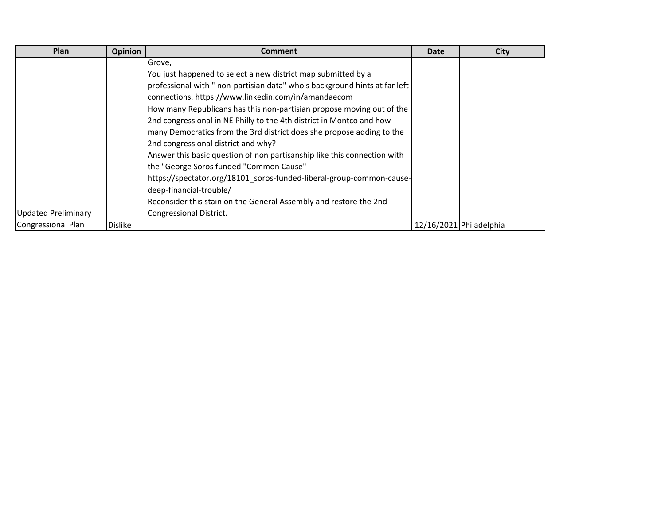| Plan                | <b>Opinion</b> | <b>Comment</b>                                                             | <b>Date</b> | <b>City</b>             |
|---------------------|----------------|----------------------------------------------------------------------------|-------------|-------------------------|
|                     |                | Grove,                                                                     |             |                         |
|                     |                | You just happened to select a new district map submitted by a              |             |                         |
|                     |                | professional with " non-partisian data" who's background hints at far left |             |                         |
|                     |                | connections. https://www.linkedin.com/in/amandaecom                        |             |                         |
|                     |                | How many Republicans has this non-partisian propose moving out of the      |             |                         |
|                     |                | 2nd congressional in NE Philly to the 4th district in Montco and how       |             |                         |
|                     |                | many Democratics from the 3rd district does she propose adding to the      |             |                         |
|                     |                | 2nd congressional district and why?                                        |             |                         |
|                     |                | Answer this basic question of non partisanship like this connection with   |             |                         |
|                     |                | the "George Soros funded "Common Cause"                                    |             |                         |
|                     |                | https://spectator.org/18101_soros-funded-liberal-group-common-cause-       |             |                         |
|                     |                | deep-financial-trouble/                                                    |             |                         |
|                     |                | Reconsider this stain on the General Assembly and restore the 2nd          |             |                         |
| Updated Preliminary |                | Congressional District.                                                    |             |                         |
| Congressional Plan  | <b>Dislike</b> |                                                                            |             | 12/16/2021 Philadelphia |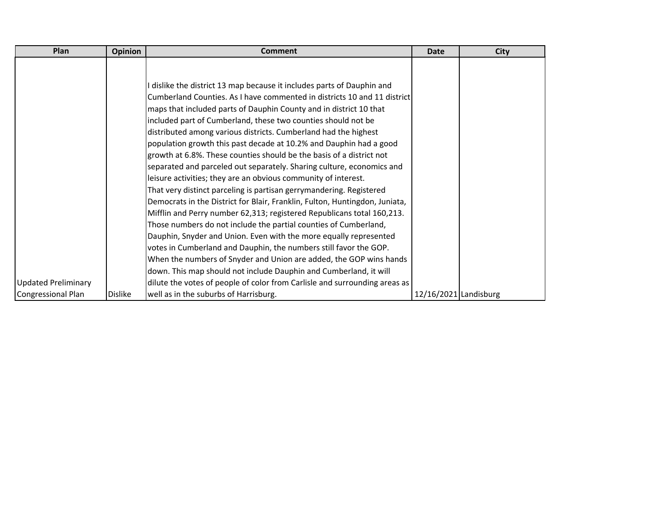| Plan                       | <b>Opinion</b> | <b>Comment</b>                                                              | <b>Date</b>             | <b>City</b> |
|----------------------------|----------------|-----------------------------------------------------------------------------|-------------------------|-------------|
|                            |                |                                                                             |                         |             |
|                            |                |                                                                             |                         |             |
|                            |                | I dislike the district 13 map because it includes parts of Dauphin and      |                         |             |
|                            |                | Cumberland Counties. As I have commented in districts 10 and 11 district    |                         |             |
|                            |                | maps that included parts of Dauphin County and in district 10 that          |                         |             |
|                            |                | included part of Cumberland, these two counties should not be               |                         |             |
|                            |                | distributed among various districts. Cumberland had the highest             |                         |             |
|                            |                | population growth this past decade at 10.2% and Dauphin had a good          |                         |             |
|                            |                | growth at 6.8%. These counties should be the basis of a district not        |                         |             |
|                            |                | separated and parceled out separately. Sharing culture, economics and       |                         |             |
|                            |                | leisure activities; they are an obvious community of interest.              |                         |             |
|                            |                | That very distinct parceling is partisan gerrymandering. Registered         |                         |             |
|                            |                | Democrats in the District for Blair, Franklin, Fulton, Huntingdon, Juniata, |                         |             |
|                            |                | Mifflin and Perry number 62,313; registered Republicans total 160,213.      |                         |             |
|                            |                | Those numbers do not include the partial counties of Cumberland,            |                         |             |
|                            |                | Dauphin, Snyder and Union. Even with the more equally represented           |                         |             |
|                            |                | votes in Cumberland and Dauphin, the numbers still favor the GOP.           |                         |             |
|                            |                | When the numbers of Snyder and Union are added, the GOP wins hands          |                         |             |
|                            |                | down. This map should not include Dauphin and Cumberland, it will           |                         |             |
| <b>Updated Preliminary</b> |                | dilute the votes of people of color from Carlisle and surrounding areas as  |                         |             |
| Congressional Plan         | <b>Dislike</b> | well as in the suburbs of Harrisburg.                                       | $12/16/2021$ Landisburg |             |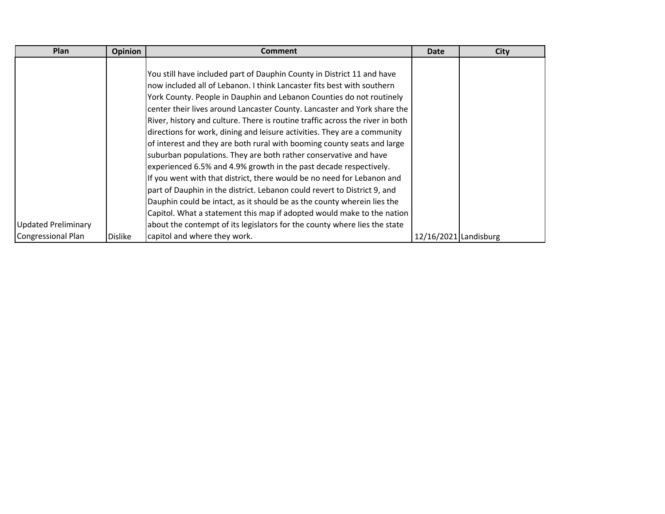| Plan                       | <b>Opinion</b> | <b>Comment</b>                                                                | <b>Date</b>           | <b>City</b> |
|----------------------------|----------------|-------------------------------------------------------------------------------|-----------------------|-------------|
|                            |                |                                                                               |                       |             |
|                            |                | You still have included part of Dauphin County in District 11 and have        |                       |             |
|                            |                | now included all of Lebanon. I think Lancaster fits best with southern        |                       |             |
|                            |                | York County. People in Dauphin and Lebanon Counties do not routinely          |                       |             |
|                            |                | center their lives around Lancaster County. Lancaster and York share the      |                       |             |
|                            |                | River, history and culture. There is routine traffic across the river in both |                       |             |
|                            |                | directions for work, dining and leisure activities. They are a community      |                       |             |
|                            |                | of interest and they are both rural with booming county seats and large       |                       |             |
|                            |                | suburban populations. They are both rather conservative and have              |                       |             |
|                            |                | experienced 6.5% and 4.9% growth in the past decade respectively.             |                       |             |
|                            |                | If you went with that district, there would be no need for Lebanon and        |                       |             |
|                            |                | part of Dauphin in the district. Lebanon could revert to District 9, and      |                       |             |
|                            |                | Dauphin could be intact, as it should be as the county wherein lies the       |                       |             |
|                            |                | Capitol. What a statement this map if adopted would make to the nation        |                       |             |
| <b>Updated Preliminary</b> |                | about the contempt of its legislators for the county where lies the state     |                       |             |
| Congressional Plan         | <b>Dislike</b> | capitol and where they work.                                                  | 12/16/2021 Landisburg |             |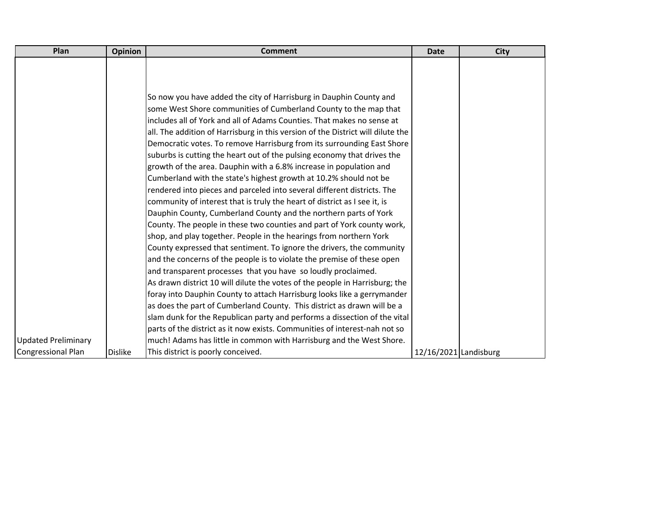| Plan                       | <b>Opinion</b> | <b>Comment</b>                                                                  | <b>Date</b>           | <b>City</b> |
|----------------------------|----------------|---------------------------------------------------------------------------------|-----------------------|-------------|
|                            |                |                                                                                 |                       |             |
|                            |                |                                                                                 |                       |             |
|                            |                |                                                                                 |                       |             |
|                            |                | So now you have added the city of Harrisburg in Dauphin County and              |                       |             |
|                            |                | some West Shore communities of Cumberland County to the map that                |                       |             |
|                            |                | includes all of York and all of Adams Counties. That makes no sense at          |                       |             |
|                            |                | all. The addition of Harrisburg in this version of the District will dilute the |                       |             |
|                            |                | Democratic votes. To remove Harrisburg from its surrounding East Shore          |                       |             |
|                            |                | suburbs is cutting the heart out of the pulsing economy that drives the         |                       |             |
|                            |                | growth of the area. Dauphin with a 6.8% increase in population and              |                       |             |
|                            |                | Cumberland with the state's highest growth at 10.2% should not be               |                       |             |
|                            |                | rendered into pieces and parceled into several different districts. The         |                       |             |
|                            |                | community of interest that is truly the heart of district as I see it, is       |                       |             |
|                            |                | Dauphin County, Cumberland County and the northern parts of York                |                       |             |
|                            |                | County. The people in these two counties and part of York county work,          |                       |             |
|                            |                | shop, and play together. People in the hearings from northern York              |                       |             |
|                            |                | County expressed that sentiment. To ignore the drivers, the community           |                       |             |
|                            |                | and the concerns of the people is to violate the premise of these open          |                       |             |
|                            |                | and transparent processes that you have so loudly proclaimed.                   |                       |             |
|                            |                | As drawn district 10 will dilute the votes of the people in Harrisburg; the     |                       |             |
|                            |                | foray into Dauphin County to attach Harrisburg looks like a gerrymander         |                       |             |
|                            |                | as does the part of Cumberland County. This district as drawn will be a         |                       |             |
|                            |                | slam dunk for the Republican party and performs a dissection of the vital       |                       |             |
|                            |                | parts of the district as it now exists. Communities of interest-nah not so      |                       |             |
| <b>Updated Preliminary</b> |                | much! Adams has little in common with Harrisburg and the West Shore.            |                       |             |
| <b>Congressional Plan</b>  | <b>Dislike</b> | This district is poorly conceived.                                              | 12/16/2021 Landisburg |             |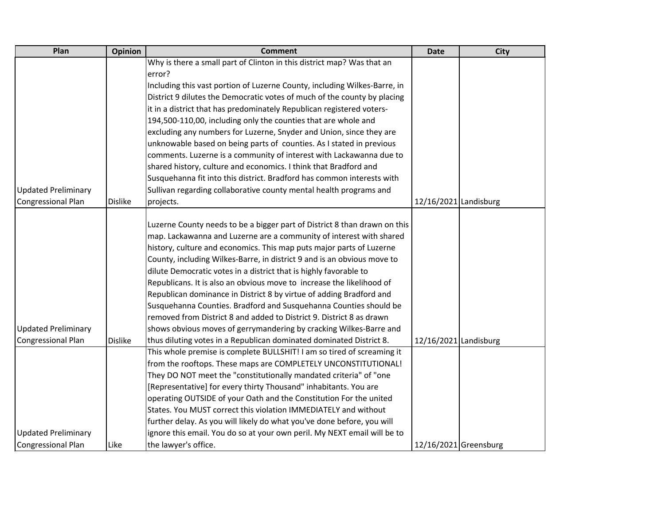| Plan                       | <b>Opinion</b> | <b>Comment</b>                                                            | <b>Date</b>           | <b>City</b> |
|----------------------------|----------------|---------------------------------------------------------------------------|-----------------------|-------------|
|                            |                | Why is there a small part of Clinton in this district map? Was that an    |                       |             |
|                            |                | error?                                                                    |                       |             |
|                            |                | Including this vast portion of Luzerne County, including Wilkes-Barre, in |                       |             |
|                            |                | District 9 dilutes the Democratic votes of much of the county by placing  |                       |             |
|                            |                | it in a district that has predominately Republican registered voters-     |                       |             |
|                            |                | 194,500-110,00, including only the counties that are whole and            |                       |             |
|                            |                | excluding any numbers for Luzerne, Snyder and Union, since they are       |                       |             |
|                            |                | unknowable based on being parts of counties. As I stated in previous      |                       |             |
|                            |                | comments. Luzerne is a community of interest with Lackawanna due to       |                       |             |
|                            |                | shared history, culture and economics. I think that Bradford and          |                       |             |
|                            |                | Susquehanna fit into this district. Bradford has common interests with    |                       |             |
| <b>Updated Preliminary</b> |                | Sullivan regarding collaborative county mental health programs and        |                       |             |
| <b>Congressional Plan</b>  | <b>Dislike</b> | projects.                                                                 | 12/16/2021 Landisburg |             |
|                            |                |                                                                           |                       |             |
|                            |                | Luzerne County needs to be a bigger part of District 8 than drawn on this |                       |             |
|                            |                | map. Lackawanna and Luzerne are a community of interest with shared       |                       |             |
|                            |                | history, culture and economics. This map puts major parts of Luzerne      |                       |             |
|                            |                | County, including Wilkes-Barre, in district 9 and is an obvious move to   |                       |             |
|                            |                | dilute Democratic votes in a district that is highly favorable to         |                       |             |
|                            |                | Republicans. It is also an obvious move to increase the likelihood of     |                       |             |
|                            |                | Republican dominance in District 8 by virtue of adding Bradford and       |                       |             |
|                            |                | Susquehanna Counties. Bradford and Susquehanna Counties should be         |                       |             |
|                            |                | removed from District 8 and added to District 9. District 8 as drawn      |                       |             |
| <b>Updated Preliminary</b> |                | shows obvious moves of gerrymandering by cracking Wilkes-Barre and        |                       |             |
| Congressional Plan         | <b>Dislike</b> | thus diluting votes in a Republican dominated dominated District 8.       | 12/16/2021 Landisburg |             |
|                            |                | This whole premise is complete BULLSHIT! I am so tired of screaming it    |                       |             |
|                            |                | from the rooftops. These maps are COMPLETELY UNCONSTITUTIONAL!            |                       |             |
|                            |                | They DO NOT meet the "constitutionally mandated criteria" of "one         |                       |             |
|                            |                | [Representative] for every thirty Thousand" inhabitants. You are          |                       |             |
|                            |                | operating OUTSIDE of your Oath and the Constitution For the united        |                       |             |
|                            |                | States. You MUST correct this violation IMMEDIATELY and without           |                       |             |
|                            |                | further delay. As you will likely do what you've done before, you will    |                       |             |
| <b>Updated Preliminary</b> |                | ignore this email. You do so at your own peril. My NEXT email will be to  |                       |             |
| <b>Congressional Plan</b>  | Like           | the lawyer's office.                                                      | 12/16/2021 Greensburg |             |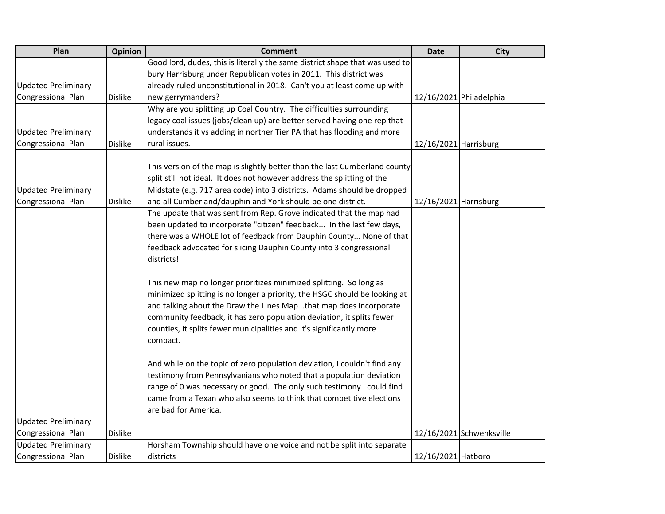| Plan                       | <b>Opinion</b> | <b>Comment</b>                                                               | <b>Date</b>           | <b>City</b>              |
|----------------------------|----------------|------------------------------------------------------------------------------|-----------------------|--------------------------|
|                            |                | Good lord, dudes, this is literally the same district shape that was used to |                       |                          |
|                            |                | bury Harrisburg under Republican votes in 2011. This district was            |                       |                          |
| <b>Updated Preliminary</b> |                | already ruled unconstitutional in 2018. Can't you at least come up with      |                       |                          |
| <b>Congressional Plan</b>  | <b>Dislike</b> | new gerrymanders?                                                            |                       | 12/16/2021 Philadelphia  |
|                            |                | Why are you splitting up Coal Country. The difficulties surrounding          |                       |                          |
|                            |                | legacy coal issues (jobs/clean up) are better served having one rep that     |                       |                          |
| <b>Updated Preliminary</b> |                | understands it vs adding in norther Tier PA that has flooding and more       |                       |                          |
| <b>Congressional Plan</b>  | <b>Dislike</b> | rural issues.                                                                | 12/16/2021 Harrisburg |                          |
|                            |                |                                                                              |                       |                          |
|                            |                | This version of the map is slightly better than the last Cumberland county   |                       |                          |
|                            |                | split still not ideal. It does not however address the splitting of the      |                       |                          |
| <b>Updated Preliminary</b> |                | Midstate (e.g. 717 area code) into 3 districts. Adams should be dropped      |                       |                          |
| Congressional Plan         | <b>Dislike</b> | and all Cumberland/dauphin and York should be one district.                  | 12/16/2021 Harrisburg |                          |
|                            |                | The update that was sent from Rep. Grove indicated that the map had          |                       |                          |
|                            |                | been updated to incorporate "citizen" feedback In the last few days,         |                       |                          |
|                            |                | there was a WHOLE lot of feedback from Dauphin County None of that           |                       |                          |
|                            |                | feedback advocated for slicing Dauphin County into 3 congressional           |                       |                          |
|                            |                | districts!                                                                   |                       |                          |
|                            |                |                                                                              |                       |                          |
|                            |                | This new map no longer prioritizes minimized splitting. So long as           |                       |                          |
|                            |                | minimized splitting is no longer a priority, the HSGC should be looking at   |                       |                          |
|                            |                | and talking about the Draw the Lines Mapthat map does incorporate            |                       |                          |
|                            |                | community feedback, it has zero population deviation, it splits fewer        |                       |                          |
|                            |                | counties, it splits fewer municipalities and it's significantly more         |                       |                          |
|                            |                | compact.                                                                     |                       |                          |
|                            |                |                                                                              |                       |                          |
|                            |                | And while on the topic of zero population deviation, I couldn't find any     |                       |                          |
|                            |                | testimony from Pennsylvanians who noted that a population deviation          |                       |                          |
|                            |                | range of 0 was necessary or good. The only such testimony I could find       |                       |                          |
|                            |                | came from a Texan who also seems to think that competitive elections         |                       |                          |
|                            |                | are bad for America.                                                         |                       |                          |
| <b>Updated Preliminary</b> |                |                                                                              |                       |                          |
| <b>Congressional Plan</b>  | <b>Dislike</b> |                                                                              |                       | 12/16/2021 Schwenksville |
| <b>Updated Preliminary</b> |                | Horsham Township should have one voice and not be split into separate        |                       |                          |
| <b>Congressional Plan</b>  | <b>Dislike</b> | districts                                                                    | 12/16/2021 Hatboro    |                          |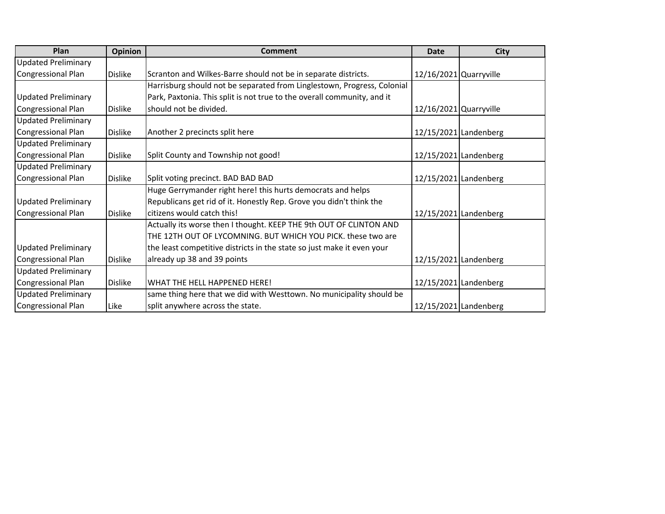| Plan                       | Opinion        | Comment                                                                 | Date                   | <b>City</b>           |
|----------------------------|----------------|-------------------------------------------------------------------------|------------------------|-----------------------|
| <b>Updated Preliminary</b> |                |                                                                         |                        |                       |
| <b>Congressional Plan</b>  | <b>Dislike</b> | Scranton and Wilkes-Barre should not be in separate districts.          | 12/16/2021 Quarryville |                       |
|                            |                | Harrisburg should not be separated from Linglestown, Progress, Colonial |                        |                       |
| <b>Updated Preliminary</b> |                | Park, Paxtonia. This split is not true to the overall community, and it |                        |                       |
| <b>Congressional Plan</b>  | <b>Dislike</b> | should not be divided.                                                  | 12/16/2021 Quarryville |                       |
| <b>Updated Preliminary</b> |                |                                                                         |                        |                       |
| <b>Congressional Plan</b>  | <b>Dislike</b> | Another 2 precincts split here                                          |                        | 12/15/2021 Landenberg |
| <b>Updated Preliminary</b> |                |                                                                         |                        |                       |
| <b>Congressional Plan</b>  | <b>Dislike</b> | Split County and Township not good!                                     |                        | 12/15/2021 Landenberg |
| <b>Updated Preliminary</b> |                |                                                                         |                        |                       |
| <b>Congressional Plan</b>  | <b>Dislike</b> | Split voting precinct. BAD BAD BAD                                      |                        | 12/15/2021 Landenberg |
|                            |                | Huge Gerrymander right here! this hurts democrats and helps             |                        |                       |
| <b>Updated Preliminary</b> |                | Republicans get rid of it. Honestly Rep. Grove you didn't think the     |                        |                       |
| Congressional Plan         | <b>Dislike</b> | citizens would catch this!                                              |                        | 12/15/2021 Landenberg |
|                            |                | Actually its worse then I thought. KEEP THE 9th OUT OF CLINTON AND      |                        |                       |
|                            |                | THE 12TH OUT OF LYCOMNING. BUT WHICH YOU PICK. these two are            |                        |                       |
| <b>Updated Preliminary</b> |                | the least competitive districts in the state so just make it even your  |                        |                       |
| Congressional Plan         | <b>Dislike</b> | already up 38 and 39 points                                             |                        | 12/15/2021 Landenberg |
| <b>Updated Preliminary</b> |                |                                                                         |                        |                       |
| <b>Congressional Plan</b>  | <b>Dislike</b> | WHAT THE HELL HAPPENED HERE!                                            |                        | 12/15/2021 Landenberg |
| <b>Updated Preliminary</b> |                | same thing here that we did with Westtown. No municipality should be    |                        |                       |
| Congressional Plan         | Like           | split anywhere across the state.                                        |                        | 12/15/2021 Landenberg |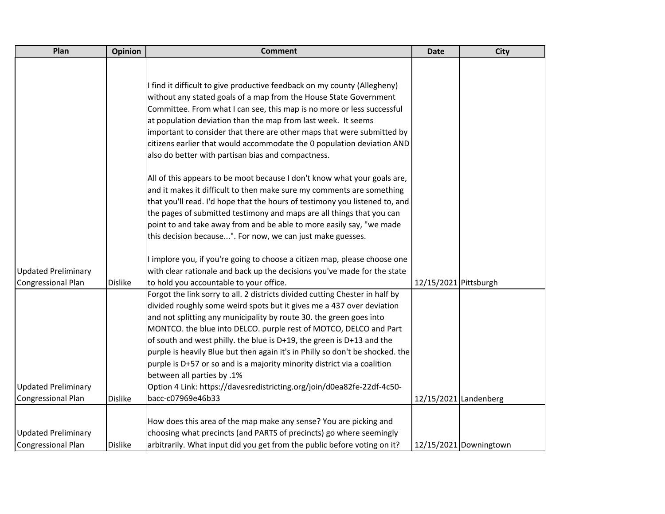| Plan                       | Opinion        | <b>Comment</b>                                                                | <b>Date</b>           | <b>City</b>            |
|----------------------------|----------------|-------------------------------------------------------------------------------|-----------------------|------------------------|
|                            |                |                                                                               |                       |                        |
|                            |                |                                                                               |                       |                        |
|                            |                | I find it difficult to give productive feedback on my county (Allegheny)      |                       |                        |
|                            |                | without any stated goals of a map from the House State Government             |                       |                        |
|                            |                | Committee. From what I can see, this map is no more or less successful        |                       |                        |
|                            |                | at population deviation than the map from last week. It seems                 |                       |                        |
|                            |                | important to consider that there are other maps that were submitted by        |                       |                        |
|                            |                | citizens earlier that would accommodate the 0 population deviation AND        |                       |                        |
|                            |                | also do better with partisan bias and compactness.                            |                       |                        |
|                            |                | All of this appears to be moot because I don't know what your goals are,      |                       |                        |
|                            |                | and it makes it difficult to then make sure my comments are something         |                       |                        |
|                            |                | that you'll read. I'd hope that the hours of testimony you listened to, and   |                       |                        |
|                            |                | the pages of submitted testimony and maps are all things that you can         |                       |                        |
|                            |                | point to and take away from and be able to more easily say, "we made          |                       |                        |
|                            |                | this decision because". For now, we can just make guesses.                    |                       |                        |
|                            |                | I implore you, if you're going to choose a citizen map, please choose one     |                       |                        |
| <b>Updated Preliminary</b> |                | with clear rationale and back up the decisions you've made for the state      |                       |                        |
| Congressional Plan         | <b>Dislike</b> | to hold you accountable to your office.                                       | 12/15/2021 Pittsburgh |                        |
|                            |                | Forgot the link sorry to all. 2 districts divided cutting Chester in half by  |                       |                        |
|                            |                | divided roughly some weird spots but it gives me a 437 over deviation         |                       |                        |
|                            |                | and not splitting any municipality by route 30. the green goes into           |                       |                        |
|                            |                | MONTCO. the blue into DELCO. purple rest of MOTCO, DELCO and Part             |                       |                        |
|                            |                | of south and west philly. the blue is D+19, the green is D+13 and the         |                       |                        |
|                            |                | purple is heavily Blue but then again it's in Philly so don't be shocked. the |                       |                        |
|                            |                | purple is D+57 or so and is a majority minority district via a coalition      |                       |                        |
|                            |                | between all parties by .1%                                                    |                       |                        |
| <b>Updated Preliminary</b> |                | Option 4 Link: https://davesredistricting.org/join/d0ea82fe-22df-4c50-        |                       |                        |
| <b>Congressional Plan</b>  | <b>Dislike</b> | bacc-c07969e46b33                                                             | 12/15/2021 Landenberg |                        |
|                            |                |                                                                               |                       |                        |
|                            |                | How does this area of the map make any sense? You are picking and             |                       |                        |
| <b>Updated Preliminary</b> |                | choosing what precincts (and PARTS of precincts) go where seemingly           |                       |                        |
| <b>Congressional Plan</b>  | <b>Dislike</b> | arbitrarily. What input did you get from the public before voting on it?      |                       | 12/15/2021 Downingtown |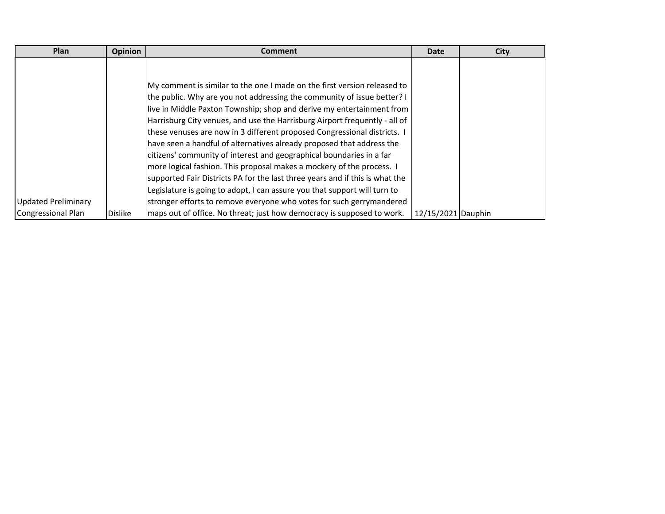| Plan                       | Opinion        | <b>Comment</b>                                                               | <b>Date</b>        | <b>City</b> |
|----------------------------|----------------|------------------------------------------------------------------------------|--------------------|-------------|
|                            |                |                                                                              |                    |             |
|                            |                |                                                                              |                    |             |
|                            |                | My comment is similar to the one I made on the first version released to     |                    |             |
|                            |                | the public. Why are you not addressing the community of issue better? I      |                    |             |
|                            |                | live in Middle Paxton Township; shop and derive my entertainment from        |                    |             |
|                            |                | Harrisburg City venues, and use the Harrisburg Airport frequently - all of   |                    |             |
|                            |                | these venuses are now in 3 different proposed Congressional districts.       |                    |             |
|                            |                | have seen a handful of alternatives already proposed that address the        |                    |             |
|                            |                | citizens' community of interest and geographical boundaries in a far         |                    |             |
|                            |                | more logical fashion. This proposal makes a mockery of the process. I        |                    |             |
|                            |                | supported Fair Districts PA for the last three years and if this is what the |                    |             |
|                            |                | Legislature is going to adopt, I can assure you that support will turn to    |                    |             |
| <b>Updated Preliminary</b> |                | stronger efforts to remove everyone who votes for such gerrymandered         |                    |             |
| <b>Congressional Plan</b>  | <b>Dislike</b> | maps out of office. No threat; just how democracy is supposed to work.       | 12/15/2021 Dauphin |             |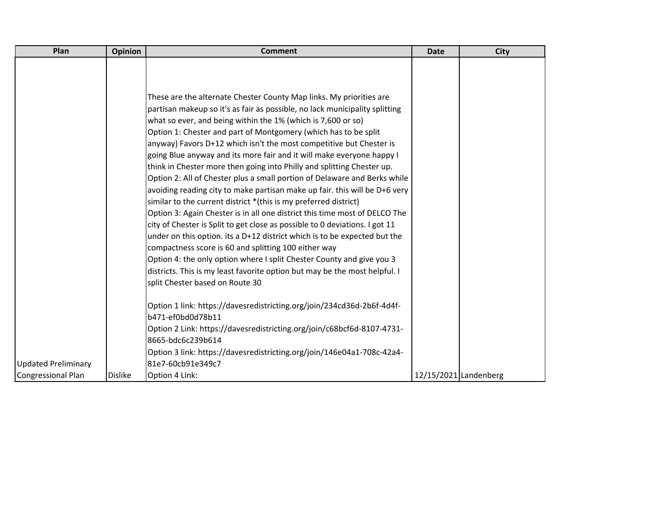| Plan                       | <b>Opinion</b> | <b>Comment</b>                                                                                                                | <b>Date</b>           | <b>City</b> |
|----------------------------|----------------|-------------------------------------------------------------------------------------------------------------------------------|-----------------------|-------------|
|                            |                |                                                                                                                               |                       |             |
|                            |                |                                                                                                                               |                       |             |
|                            |                |                                                                                                                               |                       |             |
|                            |                | These are the alternate Chester County Map links. My priorities are                                                           |                       |             |
|                            |                | partisan makeup so it's as fair as possible, no lack municipality splitting                                                   |                       |             |
|                            |                | what so ever, and being within the 1% (which is 7,600 or so)                                                                  |                       |             |
|                            |                | Option 1: Chester and part of Montgomery (which has to be split                                                               |                       |             |
|                            |                | anyway) Favors D+12 which isn't the most competitive but Chester is                                                           |                       |             |
|                            |                | going Blue anyway and its more fair and it will make everyone happy I                                                         |                       |             |
|                            |                | think in Chester more then going into Philly and splitting Chester up.                                                        |                       |             |
|                            |                | Option 2: All of Chester plus a small portion of Delaware and Berks while                                                     |                       |             |
|                            |                | avoiding reading city to make partisan make up fair. this will be D+6 very                                                    |                       |             |
|                            |                | similar to the current district *(this is my preferred district)                                                              |                       |             |
|                            |                | Option 3: Again Chester is in all one district this time most of DELCO The                                                    |                       |             |
|                            |                | city of Chester is Split to get close as possible to 0 deviations. I got 11                                                   |                       |             |
|                            |                | under on this option. its a D+12 district which is to be expected but the                                                     |                       |             |
|                            |                | compactness score is 60 and splitting 100 either way<br>Option 4: the only option where I split Chester County and give you 3 |                       |             |
|                            |                | districts. This is my least favorite option but may be the most helpful. I                                                    |                       |             |
|                            |                | split Chester based on Route 30                                                                                               |                       |             |
|                            |                |                                                                                                                               |                       |             |
|                            |                | Option 1 link: https://davesredistricting.org/join/234cd36d-2b6f-4d4f-                                                        |                       |             |
|                            |                | b471-ef0bd0d78b11                                                                                                             |                       |             |
|                            |                | Option 2 Link: https://davesredistricting.org/join/c68bcf6d-8107-4731-                                                        |                       |             |
|                            |                | 8665-bdc6c239b614                                                                                                             |                       |             |
|                            |                | Option 3 link: https://davesredistricting.org/join/146e04a1-708c-42a4-                                                        |                       |             |
| <b>Updated Preliminary</b> |                | 81e7-60cb91e349c7                                                                                                             |                       |             |
| <b>Congressional Plan</b>  | <b>Dislike</b> | Option 4 Link:                                                                                                                | 12/15/2021 Landenberg |             |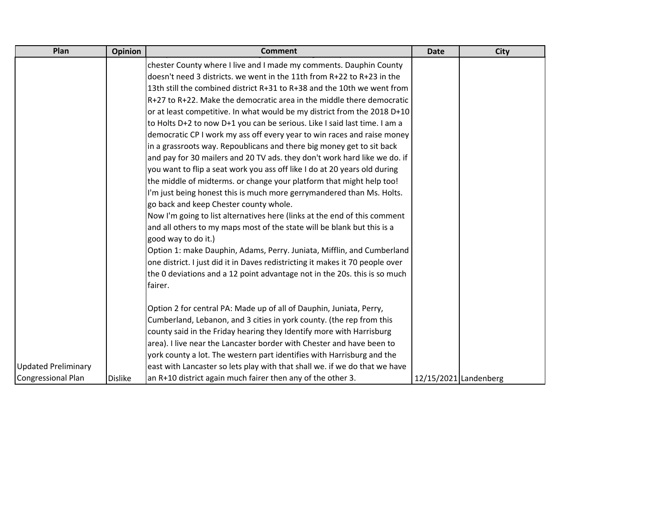| Plan                       | <b>Opinion</b> | <b>Comment</b>                                                                | <b>Date</b>           | <b>City</b> |
|----------------------------|----------------|-------------------------------------------------------------------------------|-----------------------|-------------|
|                            |                | chester County where I live and I made my comments. Dauphin County            |                       |             |
|                            |                | doesn't need 3 districts. we went in the 11th from R+22 to R+23 in the        |                       |             |
|                            |                | 13th still the combined district R+31 to R+38 and the 10th we went from       |                       |             |
|                            |                | R+27 to R+22. Make the democratic area in the middle there democratic         |                       |             |
|                            |                | or at least competitive. In what would be my district from the 2018 D+10      |                       |             |
|                            |                | to Holts D+2 to now D+1 you can be serious. Like I said last time. I am a     |                       |             |
|                            |                | democratic CP I work my ass off every year to win races and raise money       |                       |             |
|                            |                | in a grassroots way. Repoublicans and there big money get to sit back         |                       |             |
|                            |                | and pay for 30 mailers and 20 TV ads. they don't work hard like we do. if     |                       |             |
|                            |                | you want to flip a seat work you ass off like I do at 20 years old during     |                       |             |
|                            |                | the middle of midterms. or change your platform that might help too!          |                       |             |
|                            |                | I'm just being honest this is much more gerrymandered than Ms. Holts.         |                       |             |
|                            |                | go back and keep Chester county whole.                                        |                       |             |
|                            |                | Now I'm going to list alternatives here (links at the end of this comment     |                       |             |
|                            |                | and all others to my maps most of the state will be blank but this is a       |                       |             |
|                            |                | good way to do it.)                                                           |                       |             |
|                            |                | Option 1: make Dauphin, Adams, Perry. Juniata, Mifflin, and Cumberland        |                       |             |
|                            |                | one district. I just did it in Daves redistricting it makes it 70 people over |                       |             |
|                            |                | the 0 deviations and a 12 point advantage not in the 20s. this is so much     |                       |             |
|                            |                | fairer.                                                                       |                       |             |
|                            |                |                                                                               |                       |             |
|                            |                | Option 2 for central PA: Made up of all of Dauphin, Juniata, Perry,           |                       |             |
|                            |                | Cumberland, Lebanon, and 3 cities in york county. (the rep from this          |                       |             |
|                            |                | county said in the Friday hearing they Identify more with Harrisburg          |                       |             |
|                            |                | area). I live near the Lancaster border with Chester and have been to         |                       |             |
|                            |                | york county a lot. The western part identifies with Harrisburg and the        |                       |             |
| <b>Updated Preliminary</b> |                | east with Lancaster so lets play with that shall we. if we do that we have    |                       |             |
| <b>Congressional Plan</b>  | <b>Dislike</b> | an R+10 district again much fairer then any of the other 3.                   | 12/15/2021 Landenberg |             |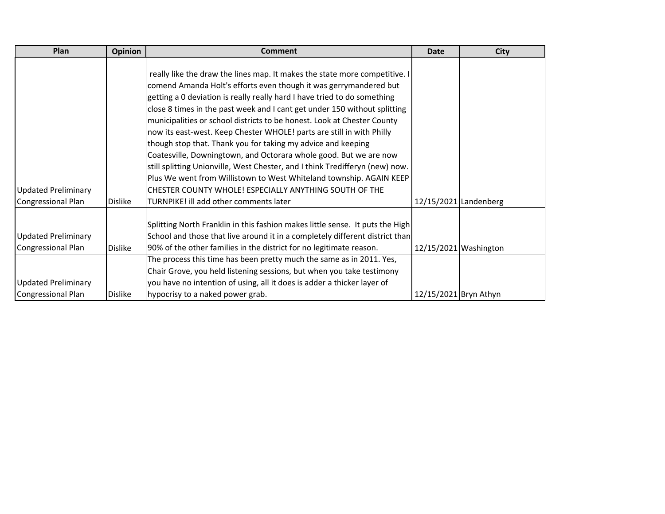| Plan                       | <b>Opinion</b> | <b>Comment</b>                                                                | <b>Date</b>           | <b>City</b>             |
|----------------------------|----------------|-------------------------------------------------------------------------------|-----------------------|-------------------------|
|                            |                |                                                                               |                       |                         |
|                            |                | really like the draw the lines map. It makes the state more competitive. I    |                       |                         |
|                            |                | comend Amanda Holt's efforts even though it was gerrymandered but             |                       |                         |
|                            |                | getting a 0 deviation is really really hard I have tried to do something      |                       |                         |
|                            |                | close 8 times in the past week and I cant get under 150 without splitting     |                       |                         |
|                            |                | municipalities or school districts to be honest. Look at Chester County       |                       |                         |
|                            |                | now its east-west. Keep Chester WHOLE! parts are still in with Philly         |                       |                         |
|                            |                | though stop that. Thank you for taking my advice and keeping                  |                       |                         |
|                            |                | Coatesville, Downingtown, and Octorara whole good. But we are now             |                       |                         |
|                            |                | still splitting Unionville, West Chester, and I think Tredifferyn (new) now.  |                       |                         |
|                            |                | Plus We went from Willistown to West Whiteland township. AGAIN KEEP           |                       |                         |
| <b>Updated Preliminary</b> |                | CHESTER COUNTY WHOLE! ESPECIALLY ANYTHING SOUTH OF THE                        |                       |                         |
| Congressional Plan         | <b>Dislike</b> | TURNPIKE! ill add other comments later                                        |                       | $12/15/2021$ Landenberg |
|                            |                |                                                                               |                       |                         |
|                            |                | Splitting North Franklin in this fashion makes little sense. It puts the High |                       |                         |
| <b>Updated Preliminary</b> |                | School and those that live around it in a completely different district than  |                       |                         |
| Congressional Plan         | <b>Dislike</b> | 90% of the other families in the district for no legitimate reason.           |                       | $12/15/2021$ Washington |
|                            |                | The process this time has been pretty much the same as in 2011. Yes,          |                       |                         |
|                            |                | Chair Grove, you held listening sessions, but when you take testimony         |                       |                         |
| <b>Updated Preliminary</b> |                | you have no intention of using, all it does is adder a thicker layer of       |                       |                         |
| Congressional Plan         | <b>Dislike</b> | hypocrisy to a naked power grab.                                              | 12/15/2021 Bryn Athyn |                         |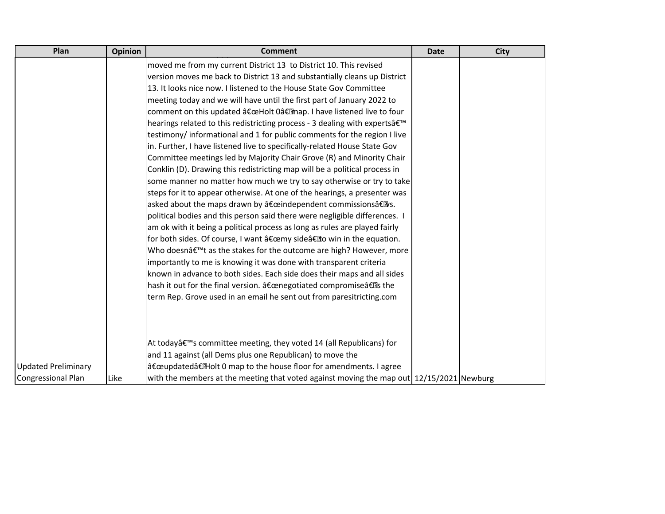| Plan                       | Opinion | <b>Comment</b>                                                                                                     | Date | <b>City</b> |
|----------------------------|---------|--------------------------------------------------------------------------------------------------------------------|------|-------------|
|                            |         | moved me from my current District 13 to District 10. This revised                                                  |      |             |
|                            |         | version moves me back to District 13 and substantially cleans up District                                          |      |             |
|                            |         | 13. It looks nice now. I listened to the House State Gov Committee                                                 |      |             |
|                            |         | meeting today and we will have until the first part of January 2022 to                                             |      |             |
|                            |         | comment on this updated "Holt 0†map. I have listened live to four                                                  |      |             |
|                            |         | hearings related to this redistricting process - 3 dealing with expertsâ€ <sup>™</sup>                             |      |             |
|                            |         | testimony/ informational and 1 for public comments for the region I live                                           |      |             |
|                            |         | in. Further, I have listened live to specifically-related House State Gov                                          |      |             |
|                            |         | Committee meetings led by Majority Chair Grove (R) and Minority Chair                                              |      |             |
|                            |         | Conklin (D). Drawing this redistricting map will be a political process in                                         |      |             |
|                            |         | some manner no matter how much we try to say otherwise or try to take                                              |      |             |
|                            |         | steps for it to appear otherwise. At one of the hearings, a presenter was                                          |      |             |
|                            |         | asked about the maps drawn by "independent commissionsâ€llys.                                                      |      |             |
|                            |         | political bodies and this person said there were negligible differences. I                                         |      |             |
|                            |         | am ok with it being a political process as long as rules are played fairly                                         |      |             |
|                            |         | for both sides. Of course, I want "my sideâ€llo win in the equation.                                               |      |             |
|                            |         | Who doesn't as the stakes for the outcome are high? However, more                                                  |      |             |
|                            |         | importantly to me is knowing it was done with transparent criteria                                                 |      |             |
|                            |         | known in advance to both sides. Each side does their maps and all sides                                            |      |             |
|                            |         | hash it out for the final version. "negotiated compromiseâ€lis the                                                 |      |             |
|                            |         | term Rep. Grove used in an email he sent out from paresitricting.com                                               |      |             |
|                            |         |                                                                                                                    |      |             |
|                            |         |                                                                                                                    |      |             |
|                            |         |                                                                                                                    |      |             |
|                            |         | At today's committee meeting, they voted 14 (all Republicans) for                                                  |      |             |
|                            |         | and 11 against (all Dems plus one Republican) to move the                                                          |      |             |
| <b>Updated Preliminary</b> |         | "updated†Holt 0 map to the house floor for amendments. I agree                                                     |      |             |
| <b>Congressional Plan</b>  | Like    | with the members at the meeting that voted against moving the map out $\left  \frac{12}{15}{2021} \right $ Newburg |      |             |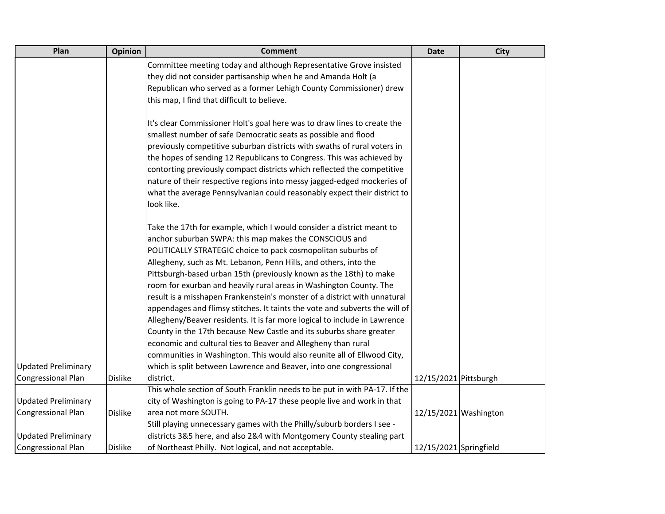| Plan                       | Opinion        | <b>Comment</b>                                                              | <b>Date</b>            | <b>City</b>           |
|----------------------------|----------------|-----------------------------------------------------------------------------|------------------------|-----------------------|
|                            |                | Committee meeting today and although Representative Grove insisted          |                        |                       |
|                            |                | they did not consider partisanship when he and Amanda Holt (a               |                        |                       |
|                            |                | Republican who served as a former Lehigh County Commissioner) drew          |                        |                       |
|                            |                | this map, I find that difficult to believe.                                 |                        |                       |
|                            |                |                                                                             |                        |                       |
|                            |                | It's clear Commissioner Holt's goal here was to draw lines to create the    |                        |                       |
|                            |                | smallest number of safe Democratic seats as possible and flood              |                        |                       |
|                            |                | previously competitive suburban districts with swaths of rural voters in    |                        |                       |
|                            |                | the hopes of sending 12 Republicans to Congress. This was achieved by       |                        |                       |
|                            |                | contorting previously compact districts which reflected the competitive     |                        |                       |
|                            |                | nature of their respective regions into messy jagged-edged mockeries of     |                        |                       |
|                            |                | what the average Pennsylvanian could reasonably expect their district to    |                        |                       |
|                            |                | look like.                                                                  |                        |                       |
|                            |                | Take the 17th for example, which I would consider a district meant to       |                        |                       |
|                            |                | anchor suburban SWPA: this map makes the CONSCIOUS and                      |                        |                       |
|                            |                | POLITICALLY STRATEGIC choice to pack cosmopolitan suburbs of                |                        |                       |
|                            |                | Allegheny, such as Mt. Lebanon, Penn Hills, and others, into the            |                        |                       |
|                            |                | Pittsburgh-based urban 15th (previously known as the 18th) to make          |                        |                       |
|                            |                | room for exurban and heavily rural areas in Washington County. The          |                        |                       |
|                            |                | result is a misshapen Frankenstein's monster of a district with unnatural   |                        |                       |
|                            |                | appendages and flimsy stitches. It taints the vote and subverts the will of |                        |                       |
|                            |                | Allegheny/Beaver residents. It is far more logical to include in Lawrence   |                        |                       |
|                            |                | County in the 17th because New Castle and its suburbs share greater         |                        |                       |
|                            |                | economic and cultural ties to Beaver and Allegheny than rural               |                        |                       |
|                            |                | communities in Washington. This would also reunite all of Ellwood City,     |                        |                       |
| <b>Updated Preliminary</b> |                | which is split between Lawrence and Beaver, into one congressional          |                        |                       |
| Congressional Plan         | <b>Dislike</b> | district.                                                                   | 12/15/2021 Pittsburgh  |                       |
|                            |                | This whole section of South Franklin needs to be put in with PA-17. If the  |                        |                       |
| <b>Updated Preliminary</b> |                | city of Washington is going to PA-17 these people live and work in that     |                        |                       |
| Congressional Plan         | <b>Dislike</b> | area not more SOUTH.                                                        |                        | 12/15/2021 Washington |
|                            |                | Still playing unnecessary games with the Philly/suburb borders I see -      |                        |                       |
| <b>Updated Preliminary</b> |                | districts 3&5 here, and also 2&4 with Montgomery County stealing part       |                        |                       |
| Congressional Plan         | <b>Dislike</b> | of Northeast Philly. Not logical, and not acceptable.                       | 12/15/2021 Springfield |                       |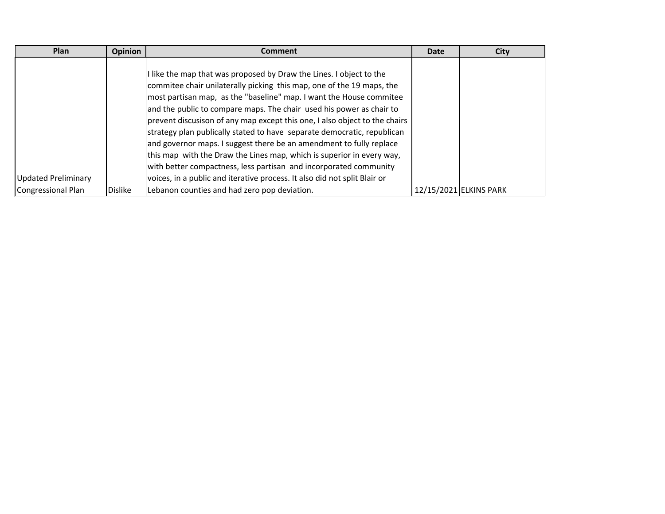| Plan                | <b>Opinion</b> | <b>Comment</b>                                                             | <b>Date</b> | <b>City</b>            |
|---------------------|----------------|----------------------------------------------------------------------------|-------------|------------------------|
|                     |                | I like the map that was proposed by Draw the Lines. I object to the        |             |                        |
|                     |                | commitee chair unilaterally picking this map, one of the 19 maps, the      |             |                        |
|                     |                | most partisan map, as the "baseline" map. I want the House commitee        |             |                        |
|                     |                | and the public to compare maps. The chair used his power as chair to       |             |                        |
|                     |                | prevent discusison of any map except this one, I also object to the chairs |             |                        |
|                     |                | strategy plan publically stated to have separate democratic, republican    |             |                        |
|                     |                | and governor maps. I suggest there be an amendment to fully replace        |             |                        |
|                     |                | this map with the Draw the Lines map, which is superior in every way,      |             |                        |
|                     |                | with better compactness, less partisan and incorporated community          |             |                        |
| Updated Preliminary |                | voices, in a public and iterative process. It also did not split Blair or  |             |                        |
| Congressional Plan  | <b>Dislike</b> | Lebanon counties and had zero pop deviation.                               |             | 12/15/2021 ELKINS PARK |